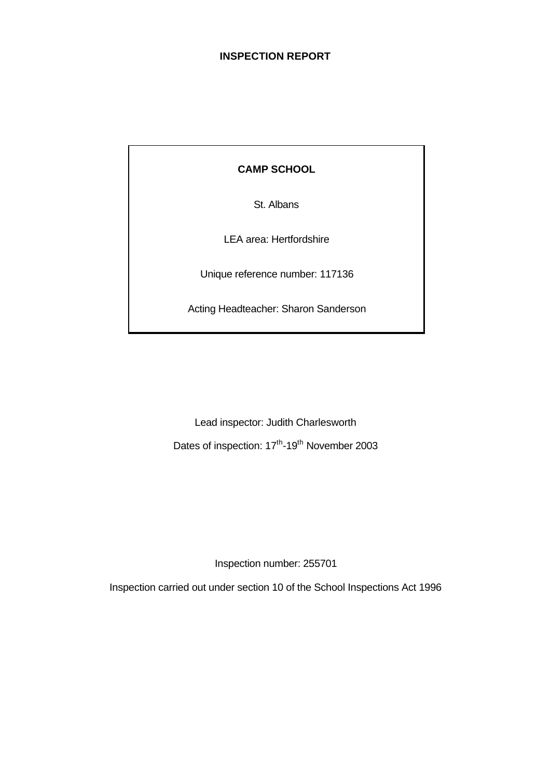### **INSPECTION REPORT**

**CAMP SCHOOL**

St. Albans

LEA area: Hertfordshire

Unique reference number: 117136

Acting Headteacher: Sharon Sanderson

Lead inspector: Judith Charlesworth Dates of inspection: 17<sup>th</sup>-19<sup>th</sup> November 2003

Inspection number: 255701

Inspection carried out under section 10 of the School Inspections Act 1996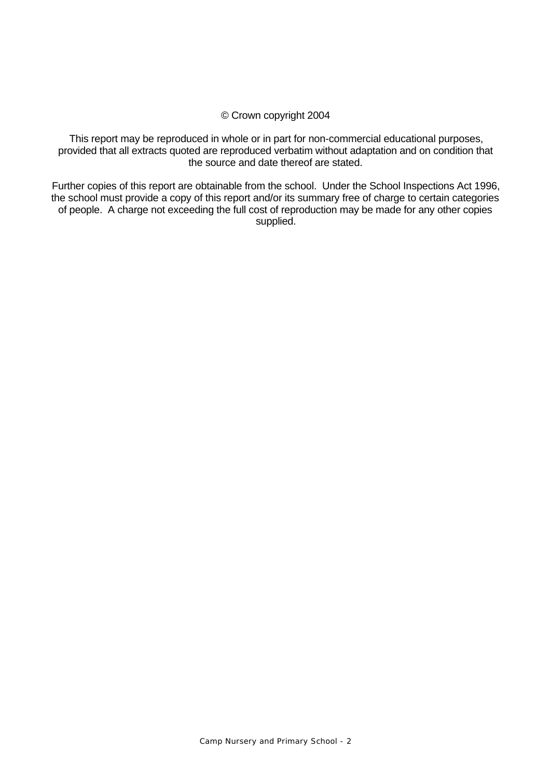#### © Crown copyright 2004

This report may be reproduced in whole or in part for non-commercial educational purposes, provided that all extracts quoted are reproduced verbatim without adaptation and on condition that the source and date thereof are stated.

Further copies of this report are obtainable from the school. Under the School Inspections Act 1996, the school must provide a copy of this report and/or its summary free of charge to certain categories of people. A charge not exceeding the full cost of reproduction may be made for any other copies supplied.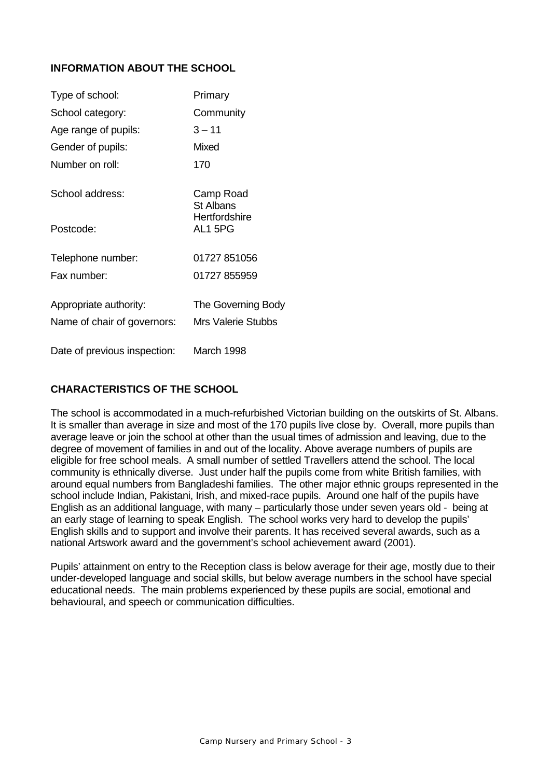### **INFORMATION ABOUT THE SCHOOL**

| Type of school:              | Primary                       |
|------------------------------|-------------------------------|
| School category:             | Community                     |
| Age range of pupils:         | $3 - 11$                      |
| Gender of pupils:            | Mixed                         |
| Number on roll:              | 170                           |
| School address:              | Camp Road<br><b>St Albans</b> |
| Postcode:                    | Hertfordshire<br>AL15PG       |
| Telephone number:            | 01727 851056                  |
| Fax number:                  | 01727 855959                  |
| Appropriate authority:       | The Governing Body            |
| Name of chair of governors:  | <b>Mrs Valerie Stubbs</b>     |
| Date of previous inspection: | March 1998                    |

### **CHARACTERISTICS OF THE SCHOOL**

The school is accommodated in a much-refurbished Victorian building on the outskirts of St. Albans. It is smaller than average in size and most of the 170 pupils live close by. Overall, more pupils than average leave or join the school at other than the usual times of admission and leaving, due to the degree of movement of families in and out of the locality. Above average numbers of pupils are eligible for free school meals. A small number of settled Travellers attend the school. The local community is ethnically diverse. Just under half the pupils come from white British families, with around equal numbers from Bangladeshi families. The other major ethnic groups represented in the school include Indian, Pakistani, Irish, and mixed-race pupils. Around one half of the pupils have English as an additional language, with many – particularly those under seven years old - being at an early stage of learning to speak English. The school works very hard to develop the pupils' English skills and to support and involve their parents. It has received several awards, such as a national Artswork award and the government's school achievement award (2001).

Pupils' attainment on entry to the Reception class is below average for their age, mostly due to their under-developed language and social skills, but below average numbers in the school have special educational needs. The main problems experienced by these pupils are social, emotional and behavioural, and speech or communication difficulties.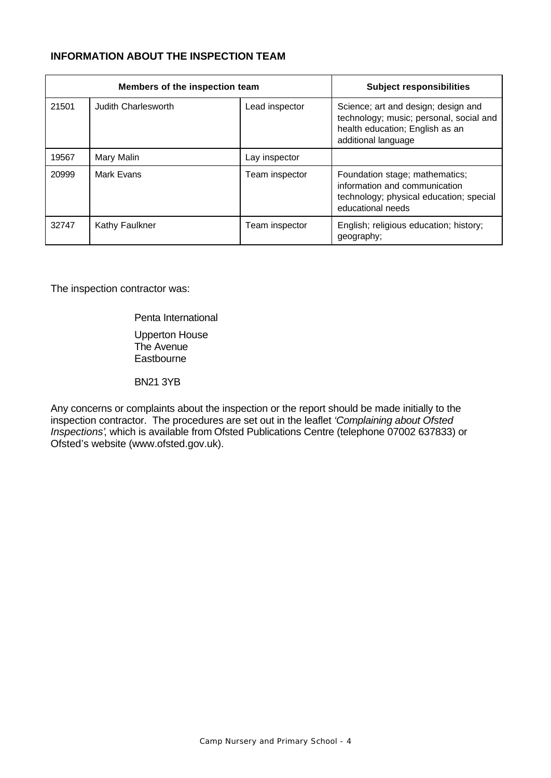### **INFORMATION ABOUT THE INSPECTION TEAM**

| Members of the inspection team |                     |                | <b>Subject responsibilities</b>                                                                                                          |
|--------------------------------|---------------------|----------------|------------------------------------------------------------------------------------------------------------------------------------------|
| 21501                          | Judith Charlesworth | Lead inspector | Science; art and design; design and<br>technology; music; personal, social and<br>health education; English as an<br>additional language |
| 19567                          | Mary Malin          | Lay inspector  |                                                                                                                                          |
| 20999                          | Mark Evans          | Team inspector | Foundation stage; mathematics;<br>information and communication<br>technology; physical education; special<br>educational needs          |
| 32747                          | Kathy Faulkner      | Team inspector | English; religious education; history;<br>geography;                                                                                     |

The inspection contractor was:

Penta International

Upperton House The Avenue **Eastbourne** 

BN21 3YB

Any concerns or complaints about the inspection or the report should be made initially to the inspection contractor. The procedures are set out in the leaflet *'Complaining about Ofsted Inspections'*, which is available from Ofsted Publications Centre (telephone 07002 637833) or Ofsted's website (www.ofsted.gov.uk).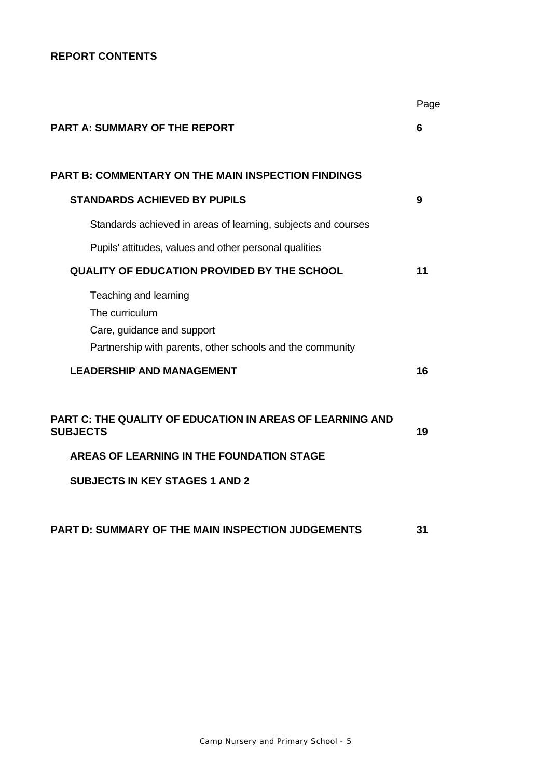### **REPORT CONTENTS**

|                                                                                                                                    | Page |
|------------------------------------------------------------------------------------------------------------------------------------|------|
| <b>PART A: SUMMARY OF THE REPORT</b>                                                                                               | 6    |
|                                                                                                                                    |      |
| PART B: COMMENTARY ON THE MAIN INSPECTION FINDINGS                                                                                 |      |
| <b>STANDARDS ACHIEVED BY PUPILS</b>                                                                                                | 9    |
| Standards achieved in areas of learning, subjects and courses                                                                      |      |
| Pupils' attitudes, values and other personal qualities                                                                             |      |
| <b>QUALITY OF EDUCATION PROVIDED BY THE SCHOOL</b>                                                                                 | 11   |
| Teaching and learning<br>The curriculum<br>Care, guidance and support<br>Partnership with parents, other schools and the community |      |
| <b>LEADERSHIP AND MANAGEMENT</b>                                                                                                   | 16   |
| PART C: THE QUALITY OF EDUCATION IN AREAS OF LEARNING AND<br><b>SUBJECTS</b>                                                       | 19   |
| AREAS OF LEARNING IN THE FOUNDATION STAGE                                                                                          |      |
| <b>SUBJECTS IN KEY STAGES 1 AND 2</b>                                                                                              |      |
| PART D: SUMMARY OF THE MAIN INSPECTION JUDGEMENTS                                                                                  | 31   |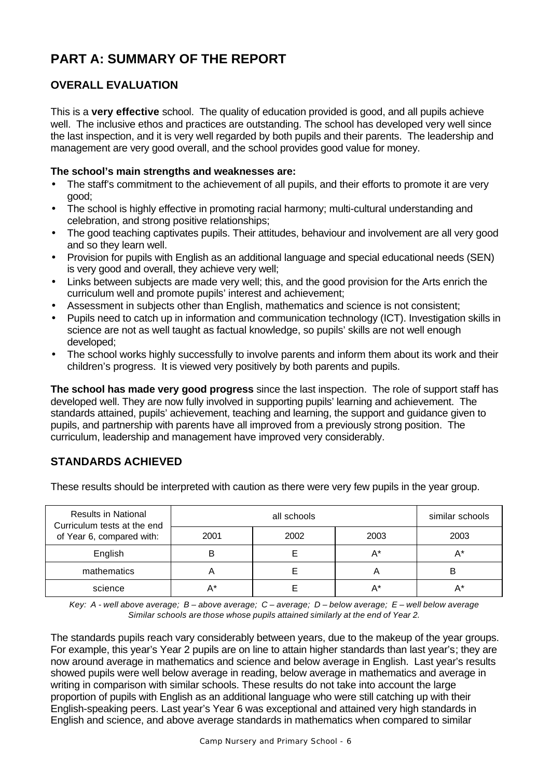# **PART A: SUMMARY OF THE REPORT**

# **OVERALL EVALUATION**

This is a **very effective** school. The quality of education provided is good, and all pupils achieve well. The inclusive ethos and practices are outstanding. The school has developed very well since the last inspection, and it is very well regarded by both pupils and their parents. The leadership and management are very good overall, and the school provides good value for money.

#### **The school's main strengths and weaknesses are:**

- The staff's commitment to the achievement of all pupils, and their efforts to promote it are very good;
- The school is highly effective in promoting racial harmony; multi-cultural understanding and celebration, and strong positive relationships;
- The good teaching captivates pupils. Their attitudes, behaviour and involvement are all very good and so they learn well.
- Provision for pupils with English as an additional language and special educational needs (SEN) is very good and overall, they achieve very well;
- Links between subjects are made very well; this, and the good provision for the Arts enrich the curriculum well and promote pupils' interest and achievement;
- Assessment in subjects other than English, mathematics and science is not consistent;
- Pupils need to catch up in information and communication technology (ICT). Investigation skills in science are not as well taught as factual knowledge, so pupils' skills are not well enough developed;
- The school works highly successfully to involve parents and inform them about its work and their children's progress. It is viewed very positively by both parents and pupils.

**The school has made very good progress** since the last inspection. The role of support staff has developed well. They are now fully involved in supporting pupils' learning and achievement. The standards attained, pupils' achievement, teaching and learning, the support and guidance given to pupils, and partnership with parents have all improved from a previously strong position. The curriculum, leadership and management have improved very considerably.

# **STANDARDS ACHIEVED**

These results should be interpreted with caution as there were very few pupils in the year group.

| <b>Results in National</b><br>Curriculum tests at the end |      | similar schools |      |       |
|-----------------------------------------------------------|------|-----------------|------|-------|
| of Year 6, compared with:                                 | 2001 | 2002            | 2003 | 2003  |
| English                                                   |      |                 | A*   | $A^*$ |
| mathematics                                               |      |                 |      | Е     |
| science                                                   |      |                 |      |       |

*Key: A - well above average; B – above average; C – average; D – below average; E – well below average Similar schools are those whose pupils attained similarly at the end of Year 2.*

The standards pupils reach vary considerably between years, due to the makeup of the year groups. For example, this year's Year 2 pupils are on line to attain higher standards than last year's; they are now around average in mathematics and science and below average in English. Last year's results showed pupils were well below average in reading, below average in mathematics and average in writing in comparison with similar schools. These results do not take into account the large proportion of pupils with English as an additional language who were still catching up with their English-speaking peers. Last year's Year 6 was exceptional and attained very high standards in English and science, and above average standards in mathematics when compared to similar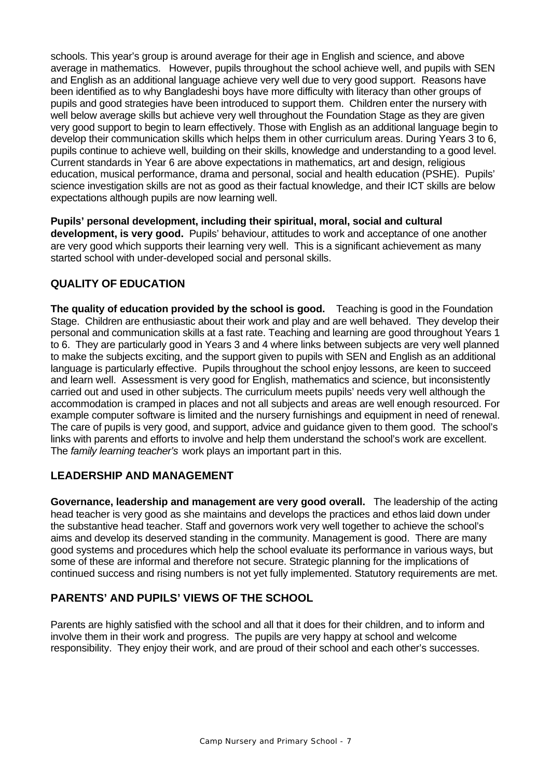schools. This year's group is around average for their age in English and science, and above average in mathematics. However, pupils throughout the school achieve well, and pupils with SEN and English as an additional language achieve very well due to very good support. Reasons have been identified as to why Bangladeshi boys have more difficulty with literacy than other groups of pupils and good strategies have been introduced to support them. Children enter the nursery with well below average skills but achieve very well throughout the Foundation Stage as they are given very good support to begin to learn effectively. Those with English as an additional language begin to develop their communication skills which helps them in other curriculum areas. During Years 3 to 6, pupils continue to achieve well, building on their skills, knowledge and understanding to a good level. Current standards in Year 6 are above expectations in mathematics, art and design, religious education, musical performance, drama and personal, social and health education (PSHE). Pupils' science investigation skills are not as good as their factual knowledge, and their ICT skills are below expectations although pupils are now learning well.

**Pupils' personal development, including their spiritual, moral, social and cultural development, is very good.** Pupils' behaviour, attitudes to work and acceptance of one another are very good which supports their learning very well. This is a significant achievement as many started school with under-developed social and personal skills.

# **QUALITY OF EDUCATION**

**The quality of education provided by the school is good.** Teaching is good in the Foundation Stage. Children are enthusiastic about their work and play and are well behaved. They develop their personal and communication skills at a fast rate. Teaching and learning are good throughout Years 1 to 6. They are particularly good in Years 3 and 4 where links between subjects are very well planned to make the subjects exciting, and the support given to pupils with SEN and English as an additional language is particularly effective. Pupils throughout the school enjoy lessons, are keen to succeed and learn well. Assessment is very good for English, mathematics and science, but inconsistently carried out and used in other subjects. The curriculum meets pupils' needs very well although the accommodation is cramped in places and not all subjects and areas are well enough resourced. For example computer software is limited and the nursery furnishings and equipment in need of renewal. The care of pupils is very good, and support, advice and guidance given to them good. The school's links with parents and efforts to involve and help them understand the school's work are excellent. The *family learning teacher's* work plays an important part in this.

### **LEADERSHIP AND MANAGEMENT**

**Governance, leadership and management are very good overall.** The leadership of the acting head teacher is very good as she maintains and develops the practices and ethos laid down under the substantive head teacher. Staff and governors work very well together to achieve the school's aims and develop its deserved standing in the community. Management is good. There are many good systems and procedures which help the school evaluate its performance in various ways, but some of these are informal and therefore not secure. Strategic planning for the implications of continued success and rising numbers is not yet fully implemented. Statutory requirements are met.

### **PARENTS' AND PUPILS' VIEWS OF THE SCHOOL**

Parents are highly satisfied with the school and all that it does for their children, and to inform and involve them in their work and progress. The pupils are very happy at school and welcome responsibility. They enjoy their work, and are proud of their school and each other's successes.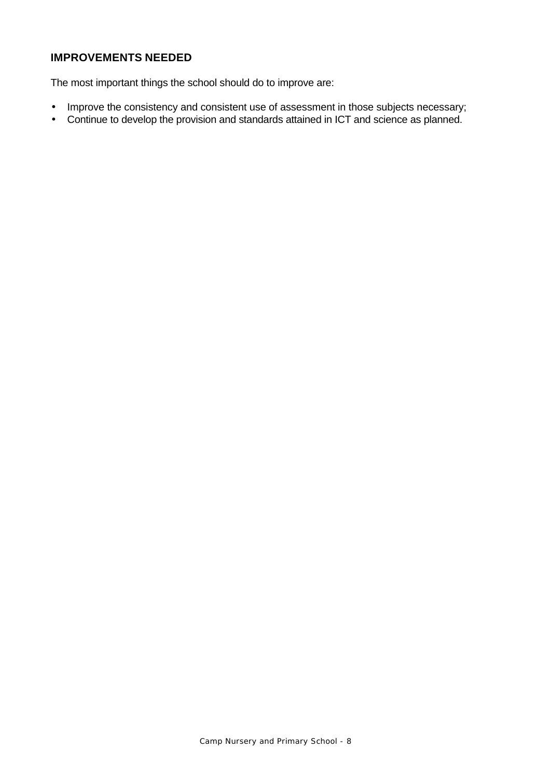# **IMPROVEMENTS NEEDED**

The most important things the school should do to improve are:

- Improve the consistency and consistent use of assessment in those subjects necessary;
- Continue to develop the provision and standards attained in ICT and science as planned.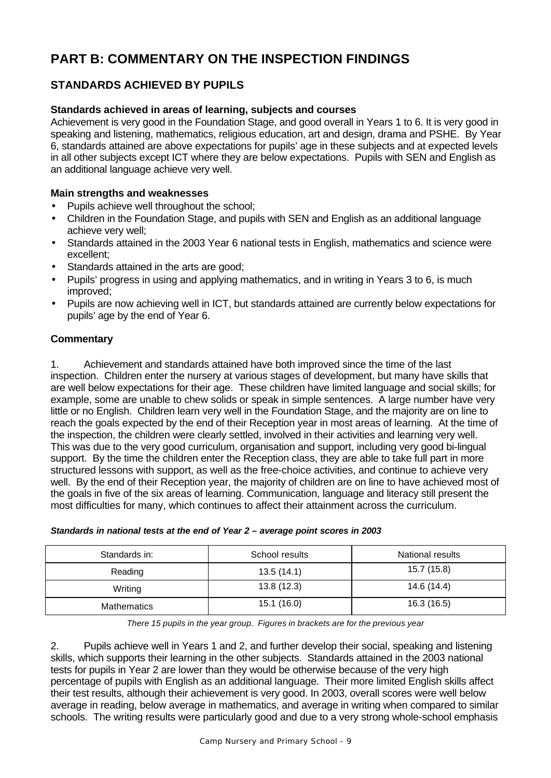# **PART B: COMMENTARY ON THE INSPECTION FINDINGS**

# **STANDARDS ACHIEVED BY PUPILS**

### **Standards achieved in areas of learning, subjects and courses**

Achievement is very good in the Foundation Stage, and good overall in Years 1 to 6. It is very good in speaking and listening, mathematics, religious education, art and design, drama and PSHE. By Year 6, standards attained are above expectations for pupils' age in these subjects and at expected levels in all other subjects except ICT where they are below expectations. Pupils with SEN and English as an additional language achieve very well.

#### **Main strengths and weaknesses**

- Pupils achieve well throughout the school;
- Children in the Foundation Stage, and pupils with SEN and English as an additional language achieve very well;
- Standards attained in the 2003 Year 6 national tests in English, mathematics and science were excellent;
- Standards attained in the arts are good;
- Pupils' progress in using and applying mathematics, and in writing in Years 3 to 6, is much improved;
- Pupils are now achieving well in ICT, but standards attained are currently below expectations for pupils' age by the end of Year 6.

### **Commentary**

1. Achievement and standards attained have both improved since the time of the last inspection. Children enter the nursery at various stages of development, but many have skills that are well below expectations for their age. These children have limited language and social skills; for example, some are unable to chew solids or speak in simple sentences. A large number have very little or no English. Children learn very well in the Foundation Stage, and the majority are on line to reach the goals expected by the end of their Reception year in most areas of learning. At the time of the inspection, the children were clearly settled, involved in their activities and learning very well. This was due to the very good curriculum, organisation and support, including very good bi-lingual support. By the time the children enter the Reception class, they are able to take full part in more structured lessons with support, as well as the free-choice activities, and continue to achieve very well. By the end of their Reception year, the majority of children are on line to have achieved most of the goals in five of the six areas of learning. Communication, language and literacy still present the most difficulties for many, which continues to affect their attainment across the curriculum.

| Standards in:      | School results | National results |
|--------------------|----------------|------------------|
| Reading            | 13.5(14.1)     | 15.7 (15.8)      |
| Writing            | 13.8(12.3)     | 14.6 (14.4)      |
| <b>Mathematics</b> | 15.1(16.0)     | 16.3 (16.5)      |

#### *Standards in national tests at the end of Year 2 – average point scores in 2003*

*There 15 pupils in the year group. Figures in brackets are for the previous year*

2. Pupils achieve well in Years 1 and 2, and further develop their social, speaking and listening skills, which supports their learning in the other subjects. Standards attained in the 2003 national tests for pupils in Year 2 are lower than they would be otherwise because of the very high percentage of pupils with English as an additional language. Their more limited English skills affect their test results, although their achievement is very good. In 2003, overall scores were well below average in reading, below average in mathematics, and average in writing when compared to similar schools. The writing results were particularly good and due to a very strong whole-school emphasis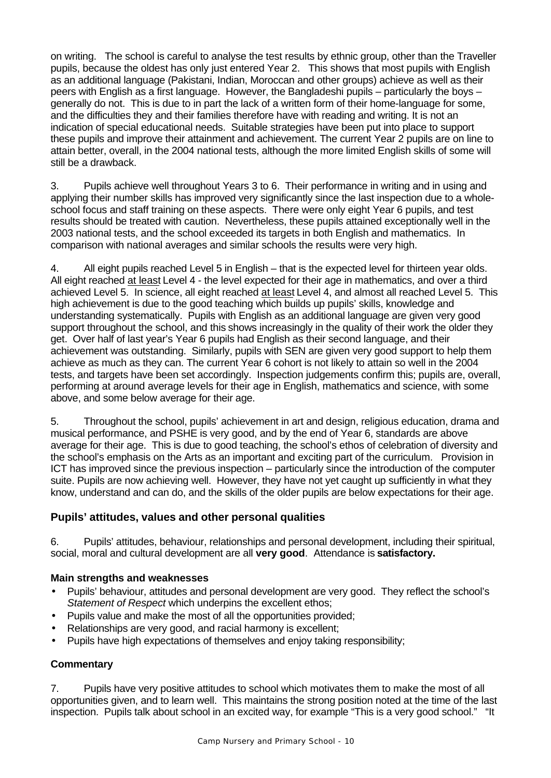on writing. The school is careful to analyse the test results by ethnic group, other than the Traveller pupils, because the oldest has only just entered Year 2. This shows that most pupils with English as an additional language (Pakistani, Indian, Moroccan and other groups) achieve as well as their peers with English as a first language. However, the Bangladeshi pupils – particularly the boys – generally do not. This is due to in part the lack of a written form of their home-language for some, and the difficulties they and their families therefore have with reading and writing. It is not an indication of special educational needs. Suitable strategies have been put into place to support these pupils and improve their attainment and achievement. The current Year 2 pupils are on line to attain better, overall, in the 2004 national tests, although the more limited English skills of some will still be a drawback.

3. Pupils achieve well throughout Years 3 to 6. Their performance in writing and in using and applying their number skills has improved very significantly since the last inspection due to a wholeschool focus and staff training on these aspects. There were only eight Year 6 pupils, and test results should be treated with caution. Nevertheless, these pupils attained exceptionally well in the 2003 national tests, and the school exceeded its targets in both English and mathematics. In comparison with national averages and similar schools the results were very high.

4. All eight pupils reached Level 5 in English – that is the expected level for thirteen year olds. All eight reached at least Level 4 - the level expected for their age in mathematics, and over a third achieved Level 5. In science, all eight reached at least Level 4, and almost all reached Level 5. This high achievement is due to the good teaching which builds up pupils' skills, knowledge and understanding systematically. Pupils with English as an additional language are given very good support throughout the school, and this shows increasingly in the quality of their work the older they get. Over half of last year's Year 6 pupils had English as their second language, and their achievement was outstanding. Similarly, pupils with SEN are given very good support to help them achieve as much as they can. The current Year 6 cohort is not likely to attain so well in the 2004 tests, and targets have been set accordingly. Inspection judgements confirm this; pupils are, overall, performing at around average levels for their age in English, mathematics and science, with some above, and some below average for their age.

5. Throughout the school, pupils' achievement in art and design, religious education, drama and musical performance, and PSHE is very good, and by the end of Year 6, standards are above average for their age. This is due to good teaching, the school's ethos of celebration of diversity and the school's emphasis on the Arts as an important and exciting part of the curriculum. Provision in ICT has improved since the previous inspection – particularly since the introduction of the computer suite. Pupils are now achieving well. However, they have not yet caught up sufficiently in what they know, understand and can do, and the skills of the older pupils are below expectations for their age.

### **Pupils' attitudes, values and other personal qualities**

6. Pupils' attitudes, behaviour, relationships and personal development, including their spiritual, social, moral and cultural development are all **very good**. Attendance is **satisfactory.**

### **Main strengths and weaknesses**

- Pupils' behaviour, attitudes and personal development are very good. They reflect the school's *Statement of Respect* which underpins the excellent ethos;
- Pupils value and make the most of all the opportunities provided;
- Relationships are very good, and racial harmony is excellent;
- Pupils have high expectations of themselves and enjoy taking responsibility;

#### **Commentary**

7. Pupils have very positive attitudes to school which motivates them to make the most of all opportunities given, and to learn well. This maintains the strong position noted at the time of the last inspection. Pupils talk about school in an excited way, for example "This is a very good school." "It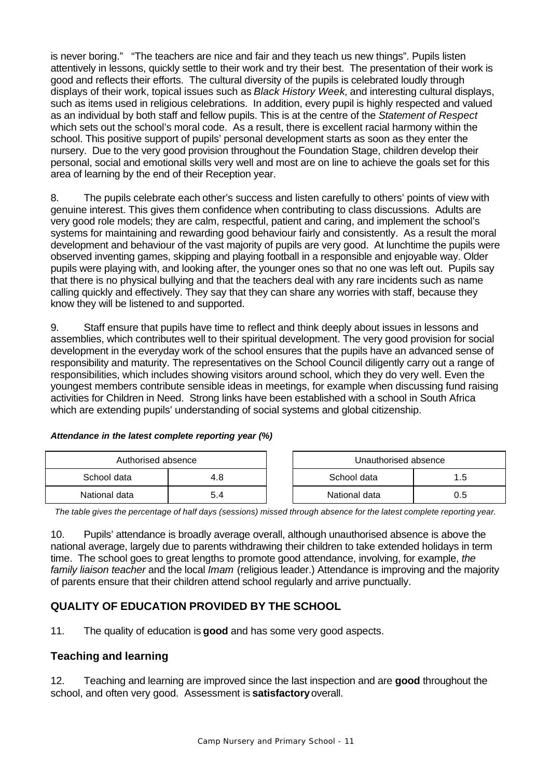is never boring." "The teachers are nice and fair and they teach us new things". Pupils listen attentively in lessons, quickly settle to their work and try their best. The presentation of their work is good and reflects their efforts. The cultural diversity of the pupils is celebrated loudly through displays of their work, topical issues such as *Black History Week,* and interesting cultural displays, such as items used in religious celebrations. In addition, every pupil is highly respected and valued as an individual by both staff and fellow pupils. This is at the centre of the *Statement of Respect* which sets out the school's moral code. As a result, there is excellent racial harmony within the school. This positive support of pupils' personal development starts as soon as they enter the nursery. Due to the very good provision throughout the Foundation Stage, children develop their personal, social and emotional skills very well and most are on line to achieve the goals set for this area of learning by the end of their Reception year.

8. The pupils celebrate each other's success and listen carefully to others' points of view with genuine interest. This gives them confidence when contributing to class discussions. Adults are very good role models; they are calm, respectful, patient and caring, and implement the school's systems for maintaining and rewarding good behaviour fairly and consistently. As a result the moral development and behaviour of the vast majority of pupils are very good. At lunchtime the pupils were observed inventing games, skipping and playing football in a responsible and enjoyable way. Older pupils were playing with, and looking after, the younger ones so that no one was left out. Pupils say that there is no physical bullying and that the teachers deal with any rare incidents such as name calling quickly and effectively. They say that they can share any worries with staff, because they know they will be listened to and supported.

9. Staff ensure that pupils have time to reflect and think deeply about issues in lessons and assemblies, which contributes well to their spiritual development. The very good provision for social development in the everyday work of the school ensures that the pupils have an advanced sense of responsibility and maturity. The representatives on the School Council diligently carry out a range of responsibilities, which includes showing visitors around school, which they do very well. Even the youngest members contribute sensible ideas in meetings, for example when discussing fund raising activities for Children in Need. Strong links have been established with a school in South Africa which are extending pupils' understanding of social systems and global citizenship.

#### *Attendance in the latest complete reporting year (%)*

| Authorised absence |     |  | Unauthorised absence |     |
|--------------------|-----|--|----------------------|-----|
| School data        | 4.8 |  | School data          | 1.5 |
| National data      | 5.4 |  | National data        | 0.5 |

*The table gives the percentage of half days (sessions) missed through absence for the latest complete reporting year.*

10. Pupils' attendance is broadly average overall, although unauthorised absence is above the national average, largely due to parents withdrawing their children to take extended holidays in term time. The school goes to great lengths to promote good attendance, involving, for example, *the family liaison teacher* and the local *Imam* (religious leader.) Attendance is improving and the majority of parents ensure that their children attend school regularly and arrive punctually.

# **QUALITY OF EDUCATION PROVIDED BY THE SCHOOL**

11. The quality of education is **good** and has some very good aspects.

### **Teaching and learning**

12. Teaching and learning are improved since the last inspection and are **good** throughout the school, and often very good. Assessment is **satisfactory** overall.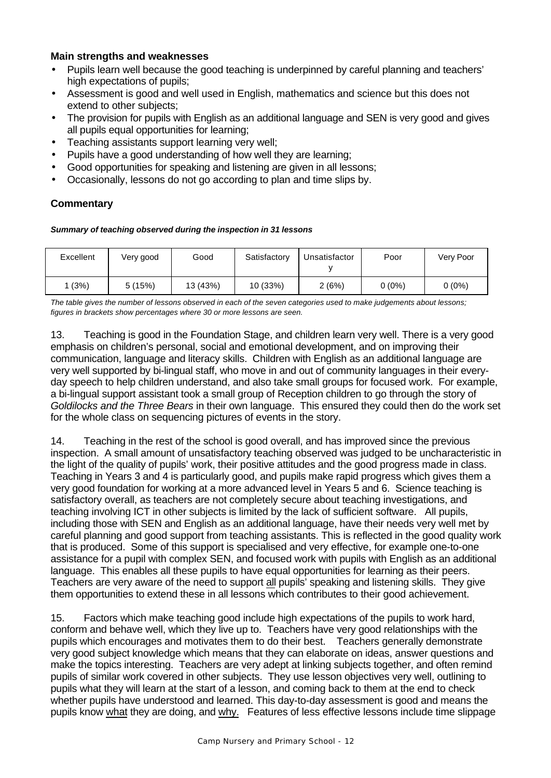#### **Main strengths and weaknesses**

- Pupils learn well because the good teaching is underpinned by careful planning and teachers' high expectations of pupils;
- Assessment is good and well used in English, mathematics and science but this does not extend to other subjects;
- The provision for pupils with English as an additional language and SEN is very good and gives all pupils equal opportunities for learning;
- Teaching assistants support learning very well;
- Pupils have a good understanding of how well they are learning;
- Good opportunities for speaking and listening are given in all lessons;
- Occasionally, lessons do not go according to plan and time slips by.

### **Commentary**

#### *Summary of teaching observed during the inspection in 31 lessons*

| Excellent | Very good | Good     | Satisfactory | Unsatisfactor | Poor     | Very Poor |
|-----------|-----------|----------|--------------|---------------|----------|-----------|
| 1 (3%)    | 5(15%)    | 13 (43%) | 10 (33%)     | 2(6%)         | $0(0\%)$ | $0(0\%)$  |

*The table gives the number of lessons observed in each of the seven categories used to make judgements about lessons; figures in brackets show percentages where 30 or more lessons are seen.*

13. Teaching is good in the Foundation Stage, and children learn very well. There is a very good emphasis on children's personal, social and emotional development, and on improving their communication, language and literacy skills. Children with English as an additional language are very well supported by bi-lingual staff, who move in and out of community languages in their everyday speech to help children understand, and also take small groups for focused work. For example, a bi-lingual support assistant took a small group of Reception children to go through the story of *Goldilocks and the Three Bears* in their own language. This ensured they could then do the work set for the whole class on sequencing pictures of events in the story.

14. Teaching in the rest of the school is good overall, and has improved since the previous inspection. A small amount of unsatisfactory teaching observed was judged to be uncharacteristic in the light of the quality of pupils' work, their positive attitudes and the good progress made in class. Teaching in Years 3 and 4 is particularly good, and pupils make rapid progress which gives them a very good foundation for working at a more advanced level in Years 5 and 6. Science teaching is satisfactory overall, as teachers are not completely secure about teaching investigations, and teaching involving ICT in other subjects is limited by the lack of sufficient software. All pupils, including those with SEN and English as an additional language, have their needs very well met by careful planning and good support from teaching assistants. This is reflected in the good quality work that is produced. Some of this support is specialised and very effective, for example one-to-one assistance for a pupil with complex SEN, and focused work with pupils with English as an additional language. This enables all these pupils to have equal opportunities for learning as their peers. Teachers are very aware of the need to support all pupils' speaking and listening skills. They give them opportunities to extend these in all lessons which contributes to their good achievement.

15. Factors which make teaching good include high expectations of the pupils to work hard, conform and behave well, which they live up to. Teachers have very good relationships with the pupils which encourages and motivates them to do their best. Teachers generally demonstrate very good subject knowledge which means that they can elaborate on ideas, answer questions and make the topics interesting. Teachers are very adept at linking subjects together, and often remind pupils of similar work covered in other subjects. They use lesson objectives very well, outlining to pupils what they will learn at the start of a lesson, and coming back to them at the end to check whether pupils have understood and learned. This day-to-day assessment is good and means the pupils know what they are doing, and why. Features of less effective lessons include time slippage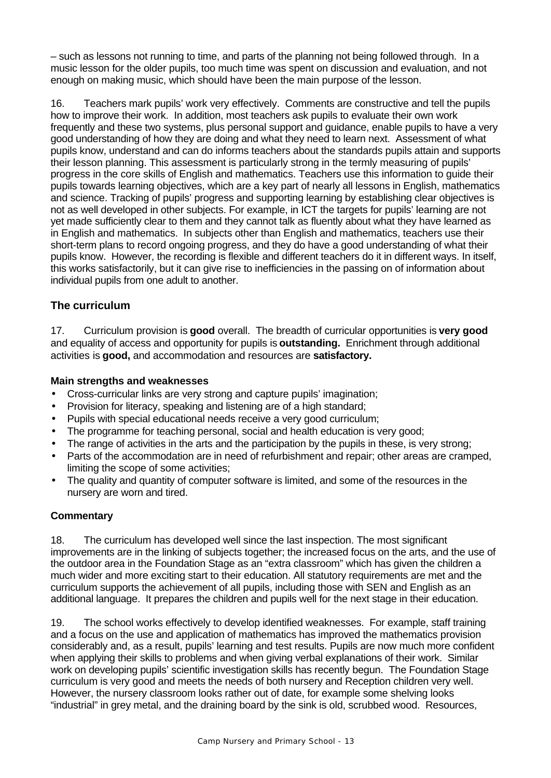– such as lessons not running to time, and parts of the planning not being followed through. In a music lesson for the older pupils, too much time was spent on discussion and evaluation, and not enough on making music, which should have been the main purpose of the lesson.

16. Teachers mark pupils' work very effectively. Comments are constructive and tell the pupils how to improve their work. In addition, most teachers ask pupils to evaluate their own work frequently and these two systems, plus personal support and guidance, enable pupils to have a very good understanding of how they are doing and what they need to learn next. Assessment of what pupils know, understand and can do informs teachers about the standards pupils attain and supports their lesson planning. This assessment is particularly strong in the termly measuring of pupils' progress in the core skills of English and mathematics. Teachers use this information to guide their pupils towards learning objectives, which are a key part of nearly all lessons in English, mathematics and science. Tracking of pupils' progress and supporting learning by establishing clear objectives is not as well developed in other subjects. For example, in ICT the targets for pupils' learning are not yet made sufficiently clear to them and they cannot talk as fluently about what they have learned as in English and mathematics. In subjects other than English and mathematics, teachers use their short-term plans to record ongoing progress, and they do have a good understanding of what their pupils know. However, the recording is flexible and different teachers do it in different ways. In itself, this works satisfactorily, but it can give rise to inefficiencies in the passing on of information about individual pupils from one adult to another.

# **The curriculum**

17. Curriculum provision is **good** overall. The breadth of curricular opportunities is **very good** and equality of access and opportunity for pupils is **outstanding.** Enrichment through additional activities is **good,** and accommodation and resources are **satisfactory.**

#### **Main strengths and weaknesses**

- Cross-curricular links are very strong and capture pupils' imagination;
- Provision for literacy, speaking and listening are of a high standard;
- Pupils with special educational needs receive a very good curriculum;
- The programme for teaching personal, social and health education is very good;
- The range of activities in the arts and the participation by the pupils in these, is very strong;
- Parts of the accommodation are in need of refurbishment and repair; other areas are cramped, limiting the scope of some activities;
- The quality and quantity of computer software is limited, and some of the resources in the nursery are worn and tired.

### **Commentary**

18. The curriculum has developed well since the last inspection. The most significant improvements are in the linking of subjects together; the increased focus on the arts, and the use of the outdoor area in the Foundation Stage as an "extra classroom" which has given the children a much wider and more exciting start to their education. All statutory requirements are met and the curriculum supports the achievement of all pupils, including those with SEN and English as an additional language. It prepares the children and pupils well for the next stage in their education.

19. The school works effectively to develop identified weaknesses. For example, staff training and a focus on the use and application of mathematics has improved the mathematics provision considerably and, as a result, pupils' learning and test results. Pupils are now much more confident when applying their skills to problems and when giving verbal explanations of their work. Similar work on developing pupils' scientific investigation skills has recently begun. The Foundation Stage curriculum is very good and meets the needs of both nursery and Reception children very well. However, the nursery classroom looks rather out of date, for example some shelving looks "industrial" in grey metal, and the draining board by the sink is old, scrubbed wood. Resources,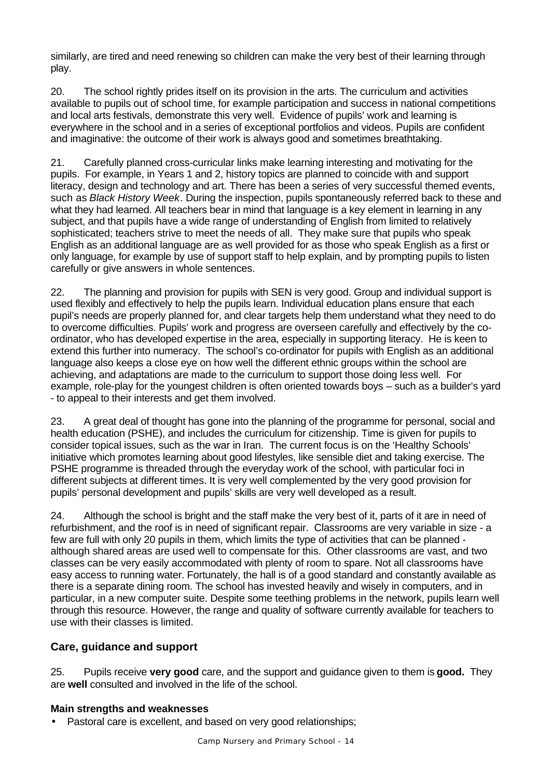similarly, are tired and need renewing so children can make the very best of their learning through play.

20. The school rightly prides itself on its provision in the arts. The curriculum and activities available to pupils out of school time, for example participation and success in national competitions and local arts festivals, demonstrate this very well. Evidence of pupils' work and learning is everywhere in the school and in a series of exceptional portfolios and videos. Pupils are confident and imaginative: the outcome of their work is always good and sometimes breathtaking.

21. Carefully planned cross-curricular links make learning interesting and motivating for the pupils. For example, in Years 1 and 2, history topics are planned to coincide with and support literacy, design and technology and art. There has been a series of very successful themed events, such as *Black History Week*. During the inspection, pupils spontaneously referred back to these and what they had learned. All teachers bear in mind that language is a key element in learning in any subject, and that pupils have a wide range of understanding of English from limited to relatively sophisticated; teachers strive to meet the needs of all. They make sure that pupils who speak English as an additional language are as well provided for as those who speak English as a first or only language, for example by use of support staff to help explain, and by prompting pupils to listen carefully or give answers in whole sentences.

22. The planning and provision for pupils with SEN is very good. Group and individual support is used flexibly and effectively to help the pupils learn. Individual education plans ensure that each pupil's needs are properly planned for, and clear targets help them understand what they need to do to overcome difficulties. Pupils' work and progress are overseen carefully and effectively by the coordinator, who has developed expertise in the area, especially in supporting literacy. He is keen to extend this further into numeracy. The school's co-ordinator for pupils with English as an additional language also keeps a close eye on how well the different ethnic groups within the school are achieving, and adaptations are made to the curriculum to support those doing less well. For example, role-play for the youngest children is often oriented towards boys – such as a builder's yard - to appeal to their interests and get them involved.

23. A great deal of thought has gone into the planning of the programme for personal, social and health education (PSHE), and includes the curriculum for citizenship. Time is given for pupils to consider topical issues, such as the war in Iran. The current focus is on the 'Healthy Schools' initiative which promotes learning about good lifestyles, like sensible diet and taking exercise. The PSHE programme is threaded through the everyday work of the school, with particular foci in different subjects at different times. It is very well complemented by the very good provision for pupils' personal development and pupils' skills are very well developed as a result.

24. Although the school is bright and the staff make the very best of it, parts of it are in need of refurbishment, and the roof is in need of significant repair. Classrooms are very variable in size - a few are full with only 20 pupils in them, which limits the type of activities that can be planned although shared areas are used well to compensate for this. Other classrooms are vast, and two classes can be very easily accommodated with plenty of room to spare. Not all classrooms have easy access to running water. Fortunately, the hall is of a good standard and constantly available as there is a separate dining room. The school has invested heavily and wisely in computers, and in particular, in a new computer suite. Despite some teething problems in the network, pupils learn well through this resource. However, the range and quality of software currently available for teachers to use with their classes is limited.

# **Care, guidance and support**

25. Pupils receive **very good** care, and the support and guidance given to them is **good.** They are **well** consulted and involved in the life of the school.

### **Main strengths and weaknesses**

• Pastoral care is excellent, and based on very good relationships;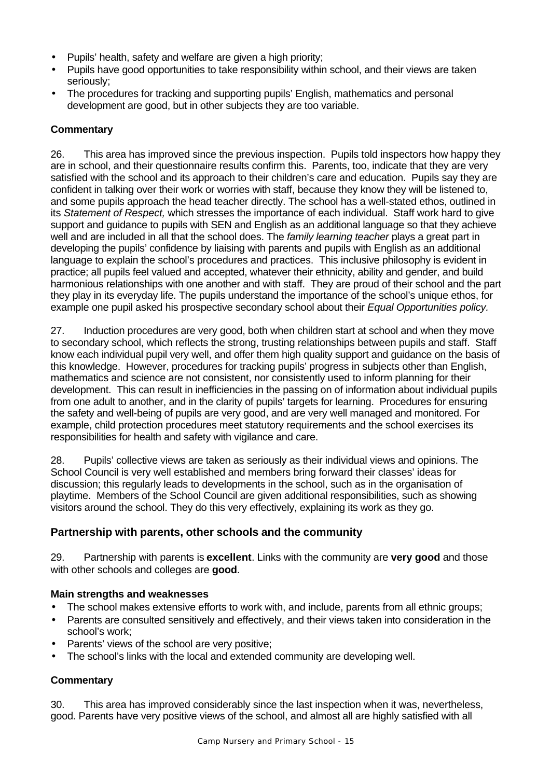- Pupils' health, safety and welfare are given a high priority;
- Pupils have good opportunities to take responsibility within school, and their views are taken seriously;
- The procedures for tracking and supporting pupils' English, mathematics and personal development are good, but in other subjects they are too variable.

### **Commentary**

26. This area has improved since the previous inspection. Pupils told inspectors how happy they are in school, and their questionnaire results confirm this. Parents, too, indicate that they are very satisfied with the school and its approach to their children's care and education. Pupils say they are confident in talking over their work or worries with staff, because they know they will be listened to, and some pupils approach the head teacher directly. The school has a well-stated ethos, outlined in its *Statement of Respect,* which stresses the importance of each individual. Staff work hard to give support and guidance to pupils with SEN and English as an additional language so that they achieve well and are included in all that the school does. The *family learning teacher* plays a great part in developing the pupils' confidence by liaising with parents and pupils with English as an additional language to explain the school's procedures and practices. This inclusive philosophy is evident in practice; all pupils feel valued and accepted, whatever their ethnicity, ability and gender, and build harmonious relationships with one another and with staff. They are proud of their school and the part they play in its everyday life. The pupils understand the importance of the school's unique ethos, for example one pupil asked his prospective secondary school about their *Equal Opportunities policy.*

27. Induction procedures are very good, both when children start at school and when they move to secondary school, which reflects the strong, trusting relationships between pupils and staff. Staff know each individual pupil very well, and offer them high quality support and guidance on the basis of this knowledge. However, procedures for tracking pupils' progress in subjects other than English, mathematics and science are not consistent, nor consistently used to inform planning for their development. This can result in inefficiencies in the passing on of information about individual pupils from one adult to another, and in the clarity of pupils' targets for learning. Procedures for ensuring the safety and well-being of pupils are very good, and are very well managed and monitored. For example, child protection procedures meet statutory requirements and the school exercises its responsibilities for health and safety with vigilance and care.

28. Pupils' collective views are taken as seriously as their individual views and opinions. The School Council is very well established and members bring forward their classes' ideas for discussion; this regularly leads to developments in the school, such as in the organisation of playtime. Members of the School Council are given additional responsibilities, such as showing visitors around the school. They do this very effectively, explaining its work as they go.

### **Partnership with parents, other schools and the community**

29. Partnership with parents is **excellent**. Links with the community are **very good** and those with other schools and colleges are **good**.

### **Main strengths and weaknesses**

- The school makes extensive efforts to work with, and include, parents from all ethnic groups;
- Parents are consulted sensitively and effectively, and their views taken into consideration in the school's work;
- Parents' views of the school are very positive;
- The school's links with the local and extended community are developing well.

### **Commentary**

30. This area has improved considerably since the last inspection when it was, nevertheless, good. Parents have very positive views of the school, and almost all are highly satisfied with all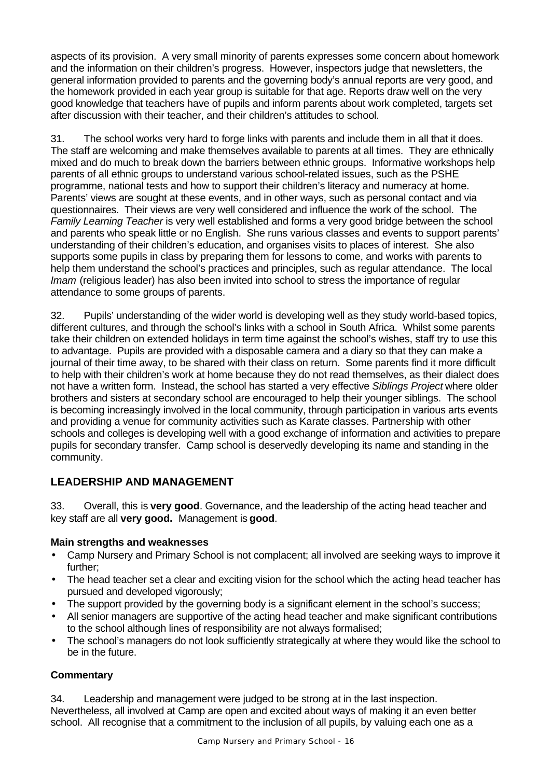aspects of its provision. A very small minority of parents expresses some concern about homework and the information on their children's progress. However, inspectors judge that newsletters, the general information provided to parents and the governing body's annual reports are very good, and the homework provided in each year group is suitable for that age. Reports draw well on the very good knowledge that teachers have of pupils and inform parents about work completed, targets set after discussion with their teacher, and their children's attitudes to school.

31. The school works very hard to forge links with parents and include them in all that it does. The staff are welcoming and make themselves available to parents at all times. They are ethnically mixed and do much to break down the barriers between ethnic groups. Informative workshops help parents of all ethnic groups to understand various school-related issues, such as the PSHE programme, national tests and how to support their children's literacy and numeracy at home. Parents' views are sought at these events, and in other ways, such as personal contact and via questionnaires. Their views are very well considered and influence the work of the school. The *Family Learning Teacher* is very well established and forms a very good bridge between the school and parents who speak little or no English. She runs various classes and events to support parents' understanding of their children's education, and organises visits to places of interest. She also supports some pupils in class by preparing them for lessons to come, and works with parents to help them understand the school's practices and principles, such as regular attendance. The local *Imam* (religious leader) has also been invited into school to stress the importance of regular attendance to some groups of parents.

32. Pupils' understanding of the wider world is developing well as they study world-based topics, different cultures, and through the school's links with a school in South Africa. Whilst some parents take their children on extended holidays in term time against the school's wishes, staff try to use this to advantage. Pupils are provided with a disposable camera and a diary so that they can make a journal of their time away, to be shared with their class on return. Some parents find it more difficult to help with their children's work at home because they do not read themselves, as their dialect does not have a written form. Instead, the school has started a very effective *Siblings Project* where older brothers and sisters at secondary school are encouraged to help their younger siblings. The school is becoming increasingly involved in the local community, through participation in various arts events and providing a venue for community activities such as Karate classes. Partnership with other schools and colleges is developing well with a good exchange of information and activities to prepare pupils for secondary transfer. Camp school is deservedly developing its name and standing in the community.

# **LEADERSHIP AND MANAGEMENT**

33. Overall, this is **very good**. Governance, and the leadership of the acting head teacher and key staff are all **very good.** Management is **good**.

### **Main strengths and weaknesses**

- Camp Nursery and Primary School is not complacent; all involved are seeking ways to improve it further;
- The head teacher set a clear and exciting vision for the school which the acting head teacher has pursued and developed vigorously;
- The support provided by the governing body is a significant element in the school's success;
- All senior managers are supportive of the acting head teacher and make significant contributions to the school although lines of responsibility are not always formalised;
- The school's managers do not look sufficiently strategically at where they would like the school to be in the future.

### **Commentary**

34. Leadership and management were judged to be strong at in the last inspection. Nevertheless, all involved at Camp are open and excited about ways of making it an even better school. All recognise that a commitment to the inclusion of all pupils, by valuing each one as a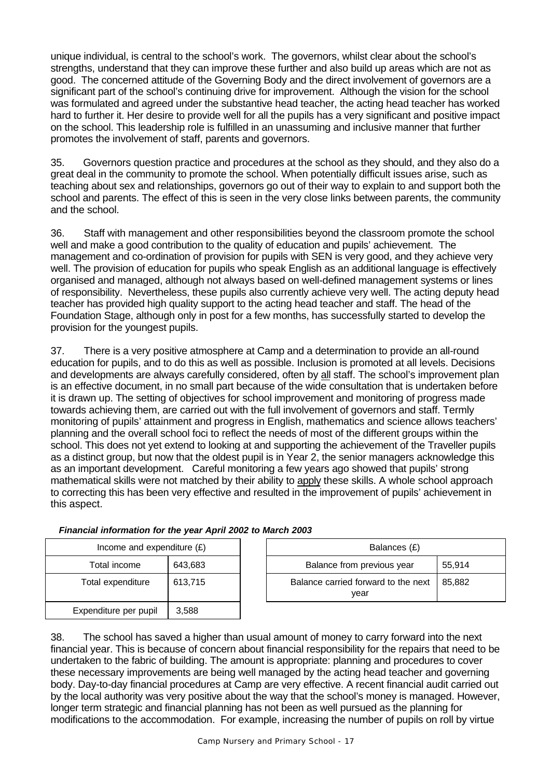unique individual, is central to the school's work. The governors, whilst clear about the school's strengths, understand that they can improve these further and also build up areas which are not as good. The concerned attitude of the Governing Body and the direct involvement of governors are a significant part of the school's continuing drive for improvement. Although the vision for the school was formulated and agreed under the substantive head teacher, the acting head teacher has worked hard to further it. Her desire to provide well for all the pupils has a very significant and positive impact on the school. This leadership role is fulfilled in an unassuming and inclusive manner that further promotes the involvement of staff, parents and governors.

35. Governors question practice and procedures at the school as they should, and they also do a great deal in the community to promote the school. When potentially difficult issues arise, such as teaching about sex and relationships, governors go out of their way to explain to and support both the school and parents. The effect of this is seen in the very close links between parents, the community and the school.

36. Staff with management and other responsibilities beyond the classroom promote the school well and make a good contribution to the quality of education and pupils' achievement. The management and co-ordination of provision for pupils with SEN is very good, and they achieve very well. The provision of education for pupils who speak English as an additional language is effectively organised and managed, although not always based on well-defined management systems or lines of responsibility. Nevertheless, these pupils also currently achieve very well. The acting deputy head teacher has provided high quality support to the acting head teacher and staff. The head of the Foundation Stage, although only in post for a few months, has successfully started to develop the provision for the youngest pupils.

37. There is a very positive atmosphere at Camp and a determination to provide an all-round education for pupils, and to do this as well as possible. Inclusion is promoted at all levels. Decisions and developments are always carefully considered, often by all staff. The school's improvement plan is an effective document, in no small part because of the wide consultation that is undertaken before it is drawn up. The setting of objectives for school improvement and monitoring of progress made towards achieving them, are carried out with the full involvement of governors and staff. Termly monitoring of pupils' attainment and progress in English, mathematics and science allows teachers' planning and the overall school foci to reflect the needs of most of the different groups within the school. This does not yet extend to looking at and supporting the achievement of the Traveller pupils as a distinct group, but now that the oldest pupil is in Year 2, the senior managers acknowledge this as an important development. Careful monitoring a few years ago showed that pupils' strong mathematical skills were not matched by their ability to apply these skills. A whole school approach to correcting this has been very effective and resulted in the improvement of pupils' achievement in this aspect.

| Income and expenditure $(E)$   |         |  |
|--------------------------------|---------|--|
| Total income                   | 643,683 |  |
| Total expenditure              | 613,715 |  |
| Expenditure per pupil<br>3,588 |         |  |

| Income and expenditure $(E)$ |              | Balances (£)                                |        |
|------------------------------|--------------|---------------------------------------------|--------|
| Total income                 | 643,683      | Balance from previous year<br>55.914        |        |
| Total expenditure            | 613,715      | Balance carried forward to the next<br>vear | 85.882 |
| Expanditure per pupil        | <b>3 588</b> |                                             |        |

38. The school has saved a higher than usual amount of money to carry forward into the next financial year. This is because of concern about financial responsibility for the repairs that need to be undertaken to the fabric of building. The amount is appropriate: planning and procedures to cover these necessary improvements are being well managed by the acting head teacher and governing body. Day-to-day financial procedures at Camp are very effective. A recent financial audit carried out by the local authority was very positive about the way that the school's money is managed. However, longer term strategic and financial planning has not been as well pursued as the planning for modifications to the accommodation. For example, increasing the number of pupils on roll by virtue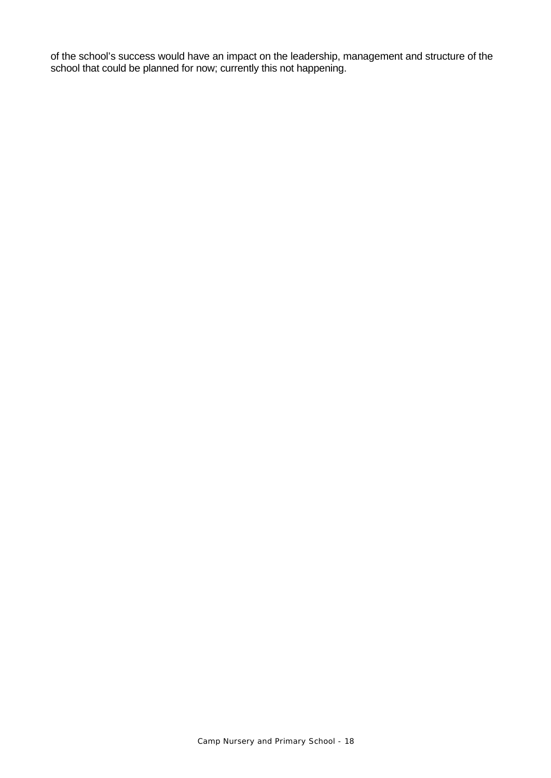of the school's success would have an impact on the leadership, management and structure of the school that could be planned for now; currently this not happening.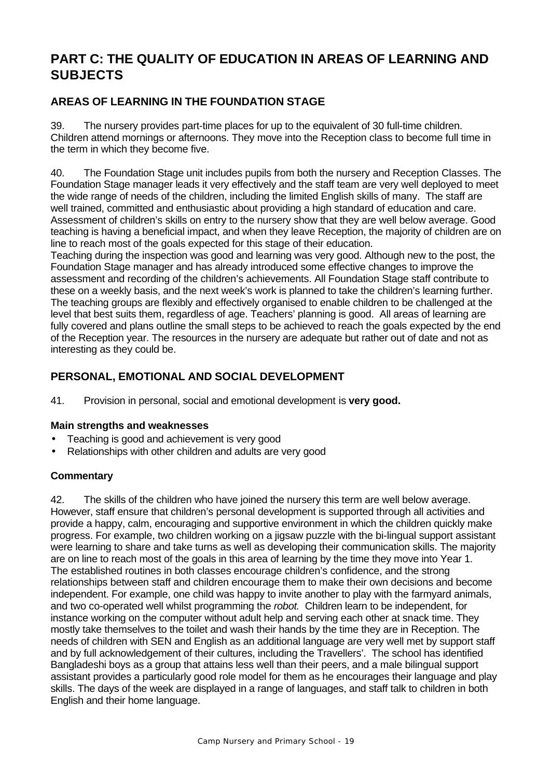# **PART C: THE QUALITY OF EDUCATION IN AREAS OF LEARNING AND SUBJECTS**

# **AREAS OF LEARNING IN THE FOUNDATION STAGE**

39. The nursery provides part-time places for up to the equivalent of 30 full-time children. Children attend mornings or afternoons. They move into the Reception class to become full time in the term in which they become five.

40. The Foundation Stage unit includes pupils from both the nursery and Reception Classes. The Foundation Stage manager leads it very effectively and the staff team are very well deployed to meet the wide range of needs of the children, including the limited English skills of many. The staff are well trained, committed and enthusiastic about providing a high standard of education and care. Assessment of children's skills on entry to the nursery show that they are well below average. Good teaching is having a beneficial impact, and when they leave Reception, the majority of children are on line to reach most of the goals expected for this stage of their education.

Teaching during the inspection was good and learning was very good. Although new to the post, the Foundation Stage manager and has already introduced some effective changes to improve the assessment and recording of the children's achievements. All Foundation Stage staff contribute to these on a weekly basis, and the next week's work is planned to take the children's learning further. The teaching groups are flexibly and effectively organised to enable children to be challenged at the level that best suits them, regardless of age. Teachers' planning is good. All areas of learning are fully covered and plans outline the small steps to be achieved to reach the goals expected by the end of the Reception year. The resources in the nursery are adequate but rather out of date and not as interesting as they could be.

# **PERSONAL, EMOTIONAL AND SOCIAL DEVELOPMENT**

41. Provision in personal, social and emotional development is **very good.**

### **Main strengths and weaknesses**

- Teaching is good and achievement is very good
- Relationships with other children and adults are very good

### **Commentary**

42. The skills of the children who have joined the nursery this term are well below average. However, staff ensure that children's personal development is supported through all activities and provide a happy, calm, encouraging and supportive environment in which the children quickly make progress. For example, two children working on a jigsaw puzzle with the bi-lingual support assistant were learning to share and take turns as well as developing their communication skills. The majority are on line to reach most of the goals in this area of learning by the time they move into Year 1. The established routines in both classes encourage children's confidence, and the strong relationships between staff and children encourage them to make their own decisions and become independent. For example, one child was happy to invite another to play with the farmyard animals, and two co-operated well whilst programming the *robot.* Children learn to be independent, for instance working on the computer without adult help and serving each other at snack time. They mostly take themselves to the toilet and wash their hands by the time they are in Reception. The needs of children with SEN and English as an additional language are very well met by support staff and by full acknowledgement of their cultures, including the Travellers'. The school has identified Bangladeshi boys as a group that attains less well than their peers, and a male bilingual support assistant provides a particularly good role model for them as he encourages their language and play skills. The days of the week are displayed in a range of languages, and staff talk to children in both English and their home language.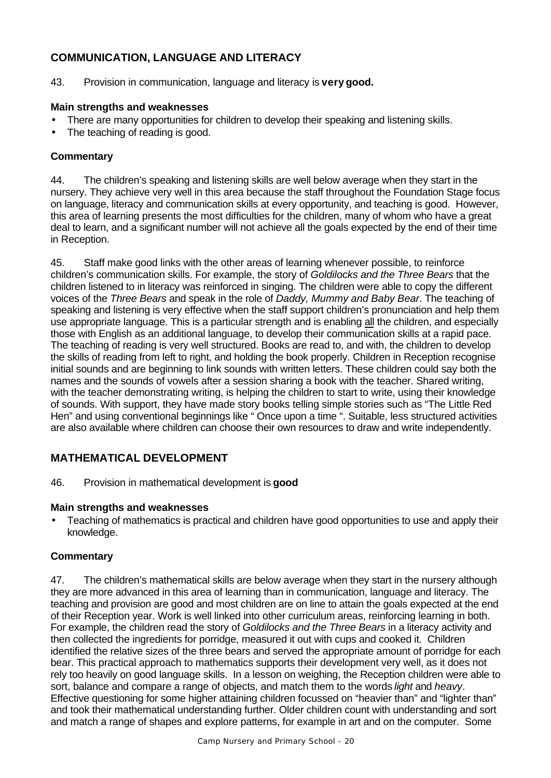# **COMMUNICATION, LANGUAGE AND LITERACY**

43. Provision in communication, language and literacy is **very good.**

#### **Main strengths and weaknesses**

- There are many opportunities for children to develop their speaking and listening skills.
- The teaching of reading is good.

### **Commentary**

44. The children's speaking and listening skills are well below average when they start in the nursery. They achieve very well in this area because the staff throughout the Foundation Stage focus on language, literacy and communication skills at every opportunity, and teaching is good. However, this area of learning presents the most difficulties for the children, many of whom who have a great deal to learn, and a significant number will not achieve all the goals expected by the end of their time in Reception.

45. Staff make good links with the other areas of learning whenever possible, to reinforce children's communication skills. For example, the story of *Goldilocks and the Three Bears* that the children listened to in literacy was reinforced in singing. The children were able to copy the different voices of the *Three Bears* and speak in the role of *Daddy, Mummy and Baby Bear*. The teaching of speaking and listening is very effective when the staff support children's pronunciation and help them use appropriate language. This is a particular strength and is enabling all the children, and especially those with English as an additional language, to develop their communication skills at a rapid pace. The teaching of reading is very well structured. Books are read to, and with, the children to develop the skills of reading from left to right, and holding the book properly. Children in Reception recognise initial sounds and are beginning to link sounds with written letters. These children could say both the names and the sounds of vowels after a session sharing a book with the teacher. Shared writing, with the teacher demonstrating writing, is helping the children to start to write, using their knowledge of sounds. With support, they have made story books telling simple stories such as "The Little Red Hen" and using conventional beginnings like " Once upon a time ". Suitable, less structured activities are also available where children can choose their own resources to draw and write independently.

# **MATHEMATICAL DEVELOPMENT**

46. Provision in mathematical development is **good**

#### **Main strengths and weaknesses**

• Teaching of mathematics is practical and children have good opportunities to use and apply their knowledge.

#### **Commentary**

47. The children's mathematical skills are below average when they start in the nursery although they are more advanced in this area of learning than in communication, language and literacy. The teaching and provision are good and most children are on line to attain the goals expected at the end of their Reception year. Work is well linked into other curriculum areas, reinforcing learning in both. For example, the children read the story of *Goldilocks and the Three Bears* in a literacy activity and then collected the ingredients for porridge, measured it out with cups and cooked it. Children identified the relative sizes of the three bears and served the appropriate amount of porridge for each bear. This practical approach to mathematics supports their development very well, as it does not rely too heavily on good language skills. In a lesson on weighing, the Reception children were able to sort, balance and compare a range of objects, and match them to the words *light* and *heavy*. Effective questioning for some higher attaining children focussed on "heavier than" and "lighter than" and took their mathematical understanding further. Older children count with understanding and sort and match a range of shapes and explore patterns, for example in art and on the computer. Some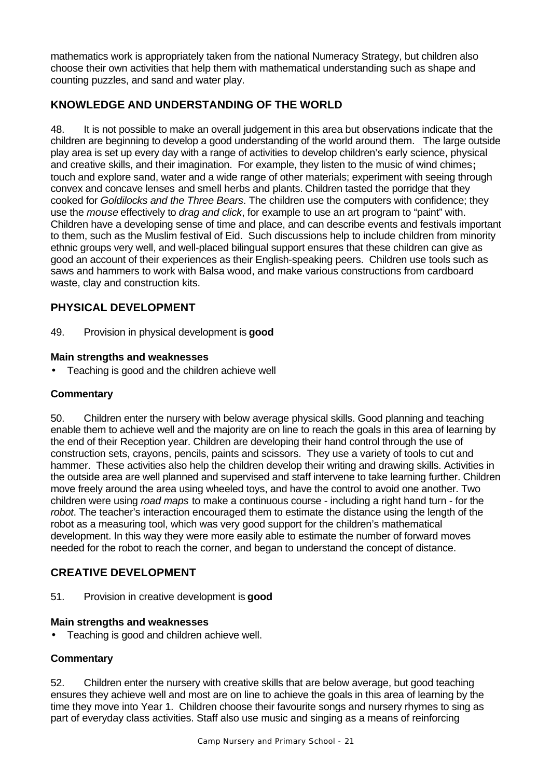mathematics work is appropriately taken from the national Numeracy Strategy, but children also choose their own activities that help them with mathematical understanding such as shape and counting puzzles, and sand and water play.

# **KNOWLEDGE AND UNDERSTANDING OF THE WORLD**

48. It is not possible to make an overall judgement in this area but observations indicate that the children are beginning to develop a good understanding of the world around them. The large outside play area is set up every day with a range of activities to develop children's early science, physical and creative skills, and their imagination. For example, they listen to the music of wind chimes**;** touch and explore sand, water and a wide range of other materials; experiment with seeing through convex and concave lenses and smell herbs and plants. Children tasted the porridge that they cooked for *Goldilocks and the Three Bears*. The children use the computers with confidence; they use the *mouse* effectively to *drag and click*, for example to use an art program to "paint" with. Children have a developing sense of time and place, and can describe events and festivals important to them, such as the Muslim festival of Eid. Such discussions help to include children from minority ethnic groups very well, and well-placed bilingual support ensures that these children can give as good an account of their experiences as their English-speaking peers. Children use tools such as saws and hammers to work with Balsa wood, and make various constructions from cardboard waste, clay and construction kits.

# **PHYSICAL DEVELOPMENT**

49. Provision in physical development is **good**

#### **Main strengths and weaknesses**

• Teaching is good and the children achieve well

#### **Commentary**

50. Children enter the nursery with below average physical skills. Good planning and teaching enable them to achieve well and the majority are on line to reach the goals in this area of learning by the end of their Reception year. Children are developing their hand control through the use of construction sets, crayons, pencils, paints and scissors. They use a variety of tools to cut and hammer. These activities also help the children develop their writing and drawing skills. Activities in the outside area are well planned and supervised and staff intervene to take learning further. Children move freely around the area using wheeled toys, and have the control to avoid one another. Two children were using *road maps* to make a continuous course - including a right hand turn - for the *robot*. The teacher's interaction encouraged them to estimate the distance using the length of the robot as a measuring tool, which was very good support for the children's mathematical development. In this way they were more easily able to estimate the number of forward moves needed for the robot to reach the corner, and began to understand the concept of distance.

### **CREATIVE DEVELOPMENT**

51. Provision in creative development is **good**

#### **Main strengths and weaknesses**

• Teaching is good and children achieve well.

### **Commentary**

52. Children enter the nursery with creative skills that are below average, but good teaching ensures they achieve well and most are on line to achieve the goals in this area of learning by the time they move into Year 1. Children choose their favourite songs and nursery rhymes to sing as part of everyday class activities. Staff also use music and singing as a means of reinforcing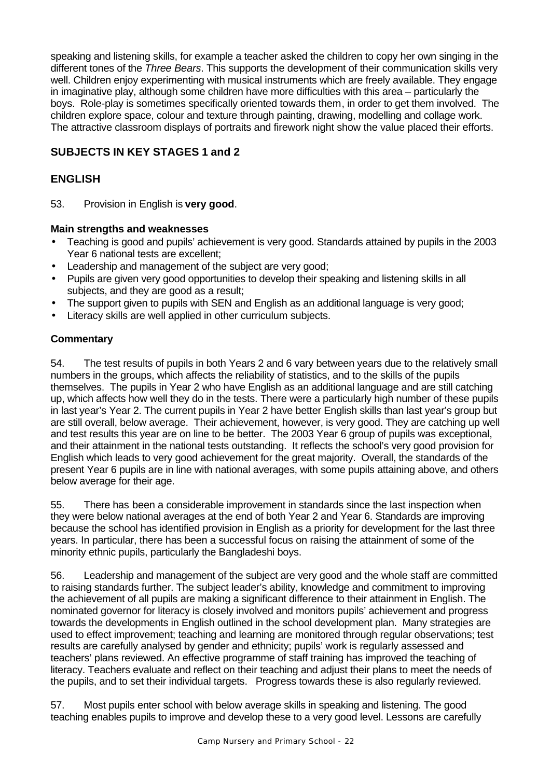speaking and listening skills, for example a teacher asked the children to copy her own singing in the different tones of the *Three Bears*. This supports the development of their communication skills very well. Children enjoy experimenting with musical instruments which are freely available. They engage in imaginative play, although some children have more difficulties with this area – particularly the boys. Role-play is sometimes specifically oriented towards them, in order to get them involved. The children explore space, colour and texture through painting, drawing, modelling and collage work. The attractive classroom displays of portraits and firework night show the value placed their efforts.

# **SUBJECTS IN KEY STAGES 1 and 2**

# **ENGLISH**

53. Provision in English is **very good**.

### **Main strengths and weaknesses**

- Teaching is good and pupils' achievement is very good. Standards attained by pupils in the 2003 Year 6 national tests are excellent;
- Leadership and management of the subject are very good;
- Pupils are given very good opportunities to develop their speaking and listening skills in all subjects, and they are good as a result;
- The support given to pupils with SEN and English as an additional language is very good;
- Literacy skills are well applied in other curriculum subjects.

### **Commentary**

54. The test results of pupils in both Years 2 and 6 vary between years due to the relatively small numbers in the groups, which affects the reliability of statistics, and to the skills of the pupils themselves. The pupils in Year 2 who have English as an additional language and are still catching up, which affects how well they do in the tests. There were a particularly high number of these pupils in last year's Year 2. The current pupils in Year 2 have better English skills than last year's group but are still overall, below average. Their achievement, however, is very good. They are catching up well and test results this year are on line to be better. The 2003 Year 6 group of pupils was exceptional, and their attainment in the national tests outstanding. It reflects the school's very good provision for English which leads to very good achievement for the great majority. Overall, the standards of the present Year 6 pupils are in line with national averages, with some pupils attaining above, and others below average for their age.

55. There has been a considerable improvement in standards since the last inspection when they were below national averages at the end of both Year 2 and Year 6. Standards are improving because the school has identified provision in English as a priority for development for the last three years. In particular, there has been a successful focus on raising the attainment of some of the minority ethnic pupils, particularly the Bangladeshi boys.

56. Leadership and management of the subject are very good and the whole staff are committed to raising standards further. The subject leader's ability, knowledge and commitment to improving the achievement of all pupils are making a significant difference to their attainment in English. The nominated governor for literacy is closely involved and monitors pupils' achievement and progress towards the developments in English outlined in the school development plan. Many strategies are used to effect improvement; teaching and learning are monitored through regular observations; test results are carefully analysed by gender and ethnicity; pupils' work is regularly assessed and teachers' plans reviewed. An effective programme of staff training has improved the teaching of literacy. Teachers evaluate and reflect on their teaching and adjust their plans to meet the needs of the pupils, and to set their individual targets. Progress towards these is also regularly reviewed.

57. Most pupils enter school with below average skills in speaking and listening. The good teaching enables pupils to improve and develop these to a very good level. Lessons are carefully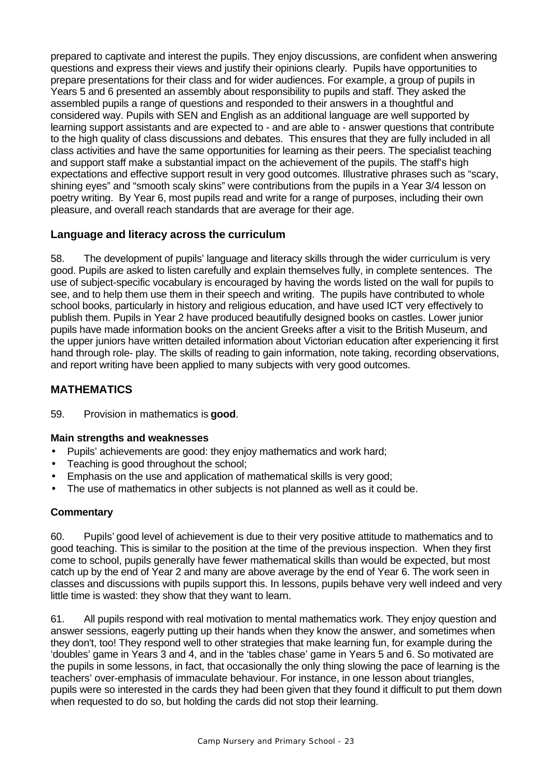prepared to captivate and interest the pupils. They enjoy discussions, are confident when answering questions and express their views and justify their opinions clearly. Pupils have opportunities to prepare presentations for their class and for wider audiences. For example, a group of pupils in Years 5 and 6 presented an assembly about responsibility to pupils and staff. They asked the assembled pupils a range of questions and responded to their answers in a thoughtful and considered way. Pupils with SEN and English as an additional language are well supported by learning support assistants and are expected to - and are able to - answer questions that contribute to the high quality of class discussions and debates. This ensures that they are fully included in all class activities and have the same opportunities for learning as their peers. The specialist teaching and support staff make a substantial impact on the achievement of the pupils. The staff's high expectations and effective support result in very good outcomes. Illustrative phrases such as "scary, shining eyes" and "smooth scaly skins" were contributions from the pupils in a Year 3/4 lesson on poetry writing. By Year 6, most pupils read and write for a range of purposes, including their own pleasure, and overall reach standards that are average for their age.

### **Language and literacy across the curriculum**

58. The development of pupils' language and literacy skills through the wider curriculum is very good. Pupils are asked to listen carefully and explain themselves fully, in complete sentences. The use of subject-specific vocabulary is encouraged by having the words listed on the wall for pupils to see, and to help them use them in their speech and writing. The pupils have contributed to whole school books, particularly in history and religious education, and have used ICT very effectively to publish them. Pupils in Year 2 have produced beautifully designed books on castles. Lower junior pupils have made information books on the ancient Greeks after a visit to the British Museum, and the upper juniors have written detailed information about Victorian education after experiencing it first hand through role- play. The skills of reading to gain information, note taking, recording observations, and report writing have been applied to many subjects with very good outcomes.

# **MATHEMATICS**

59. Provision in mathematics is **good**.

### **Main strengths and weaknesses**

- Pupils' achievements are good: they enjoy mathematics and work hard;
- Teaching is good throughout the school;
- Emphasis on the use and application of mathematical skills is very good;
- The use of mathematics in other subjects is not planned as well as it could be.

### **Commentary**

60. Pupils' good level of achievement is due to their very positive attitude to mathematics and to good teaching. This is similar to the position at the time of the previous inspection. When they first come to school, pupils generally have fewer mathematical skills than would be expected, but most catch up by the end of Year 2 and many are above average by the end of Year 6. The work seen in classes and discussions with pupils support this. In lessons, pupils behave very well indeed and very little time is wasted: they show that they want to learn.

61. All pupils respond with real motivation to mental mathematics work. They enjoy question and answer sessions, eagerly putting up their hands when they know the answer, and sometimes when they don't, too! They respond well to other strategies that make learning fun, for example during the 'doubles' game in Years 3 and 4, and in the 'tables chase' game in Years 5 and 6. So motivated are the pupils in some lessons, in fact, that occasionally the only thing slowing the pace of learning is the teachers' over-emphasis of immaculate behaviour. For instance, in one lesson about triangles, pupils were so interested in the cards they had been given that they found it difficult to put them down when requested to do so, but holding the cards did not stop their learning.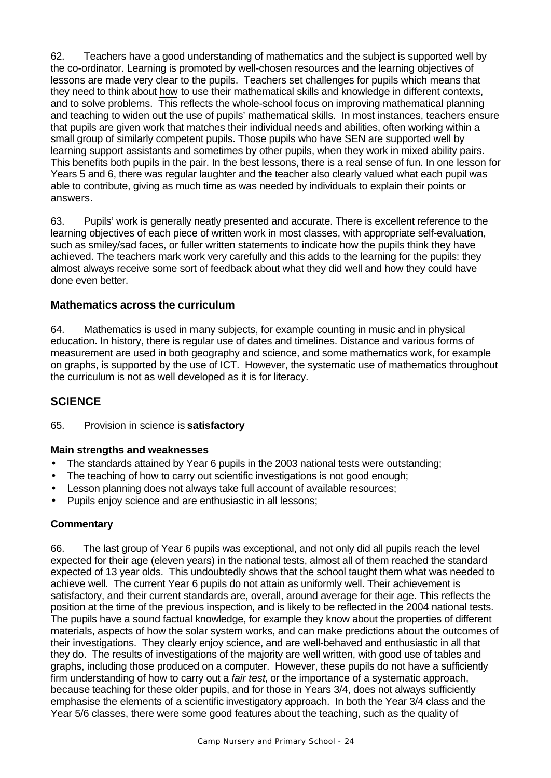62. Teachers have a good understanding of mathematics and the subject is supported well by the co-ordinator. Learning is promoted by well-chosen resources and the learning objectives of lessons are made very clear to the pupils. Teachers set challenges for pupils which means that they need to think about how to use their mathematical skills and knowledge in different contexts, and to solve problems. This reflects the whole-school focus on improving mathematical planning and teaching to widen out the use of pupils' mathematical skills. In most instances, teachers ensure that pupils are given work that matches their individual needs and abilities, often working within a small group of similarly competent pupils. Those pupils who have SEN are supported well by learning support assistants and sometimes by other pupils, when they work in mixed ability pairs. This benefits both pupils in the pair. In the best lessons, there is a real sense of fun. In one lesson for Years 5 and 6, there was regular laughter and the teacher also clearly valued what each pupil was able to contribute, giving as much time as was needed by individuals to explain their points or answers.

63. Pupils' work is generally neatly presented and accurate. There is excellent reference to the learning objectives of each piece of written work in most classes, with appropriate self-evaluation, such as smiley/sad faces, or fuller written statements to indicate how the pupils think they have achieved. The teachers mark work very carefully and this adds to the learning for the pupils: they almost always receive some sort of feedback about what they did well and how they could have done even better.

### **Mathematics across the curriculum**

64. Mathematics is used in many subjects, for example counting in music and in physical education. In history, there is regular use of dates and timelines. Distance and various forms of measurement are used in both geography and science, and some mathematics work, for example on graphs, is supported by the use of ICT. However, the systematic use of mathematics throughout the curriculum is not as well developed as it is for literacy.

#### **SCIENCE**

65. Provision in science is **satisfactory**

#### **Main strengths and weaknesses**

- The standards attained by Year 6 pupils in the 2003 national tests were outstanding;
- The teaching of how to carry out scientific investigations is not good enough;
- Lesson planning does not always take full account of available resources;
- Pupils enjoy science and are enthusiastic in all lessons;

#### **Commentary**

66. The last group of Year 6 pupils was exceptional, and not only did all pupils reach the level expected for their age (eleven years) in the national tests, almost all of them reached the standard expected of 13 year olds. This undoubtedly shows that the school taught them what was needed to achieve well. The current Year 6 pupils do not attain as uniformly well. Their achievement is satisfactory, and their current standards are, overall, around average for their age. This reflects the position at the time of the previous inspection, and is likely to be reflected in the 2004 national tests. The pupils have a sound factual knowledge, for example they know about the properties of different materials, aspects of how the solar system works, and can make predictions about the outcomes of their investigations. They clearly enjoy science, and are well-behaved and enthusiastic in all that they do. The results of investigations of the majority are well written, with good use of tables and graphs, including those produced on a computer. However, these pupils do not have a sufficiently firm understanding of how to carry out a *fair test*, or the importance of a systematic approach, because teaching for these older pupils, and for those in Years 3/4, does not always sufficiently emphasise the elements of a scientific investigatory approach. In both the Year 3/4 class and the Year 5/6 classes, there were some good features about the teaching, such as the quality of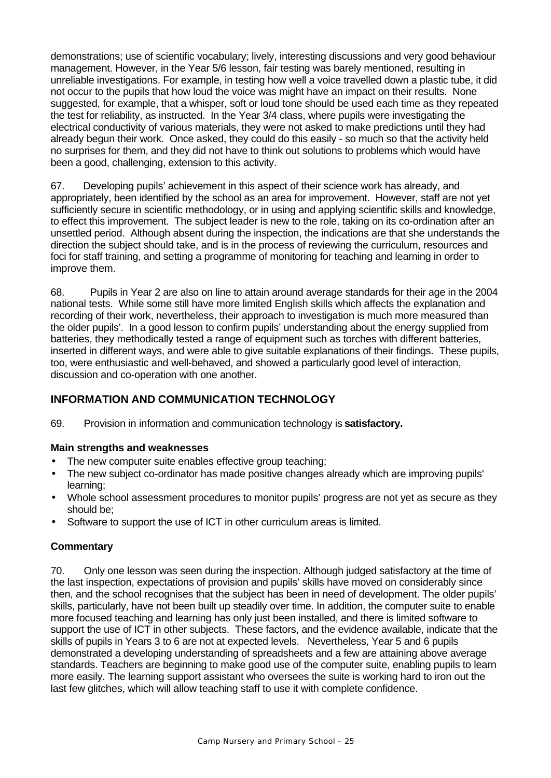demonstrations; use of scientific vocabulary; lively, interesting discussions and very good behaviour management. However, in the Year 5/6 lesson, fair testing was barely mentioned, resulting in unreliable investigations. For example, in testing how well a voice travelled down a plastic tube, it did not occur to the pupils that how loud the voice was might have an impact on their results. None suggested, for example, that a whisper, soft or loud tone should be used each time as they repeated the test for reliability, as instructed. In the Year 3/4 class, where pupils were investigating the electrical conductivity of various materials, they were not asked to make predictions until they had already begun their work. Once asked, they could do this easily - so much so that the activity held no surprises for them, and they did not have to think out solutions to problems which would have been a good, challenging, extension to this activity.

67. Developing pupils' achievement in this aspect of their science work has already, and appropriately, been identified by the school as an area for improvement. However, staff are not yet sufficiently secure in scientific methodology, or in using and applying scientific skills and knowledge, to effect this improvement. The subject leader is new to the role, taking on its co-ordination after an unsettled period. Although absent during the inspection, the indications are that she understands the direction the subject should take, and is in the process of reviewing the curriculum, resources and foci for staff training, and setting a programme of monitoring for teaching and learning in order to improve them.

68. Pupils in Year 2 are also on line to attain around average standards for their age in the 2004 national tests. While some still have more limited English skills which affects the explanation and recording of their work, nevertheless, their approach to investigation is much more measured than the older pupils'. In a good lesson to confirm pupils' understanding about the energy supplied from batteries, they methodically tested a range of equipment such as torches with different batteries, inserted in different ways, and were able to give suitable explanations of their findings. These pupils, too, were enthusiastic and well-behaved, and showed a particularly good level of interaction, discussion and co-operation with one another.

# **INFORMATION AND COMMUNICATION TECHNOLOGY**

69. Provision in information and communication technology is **satisfactory.**

### **Main strengths and weaknesses**

- The new computer suite enables effective group teaching:
- The new subject co-ordinator has made positive changes already which are improving pupils' learning;
- Whole school assessment procedures to monitor pupils' progress are not yet as secure as they should be;
- Software to support the use of ICT in other curriculum areas is limited.

### **Commentary**

70. Only one lesson was seen during the inspection. Although judged satisfactory at the time of the last inspection, expectations of provision and pupils' skills have moved on considerably since then, and the school recognises that the subject has been in need of development. The older pupils' skills, particularly, have not been built up steadily over time. In addition, the computer suite to enable more focused teaching and learning has only just been installed, and there is limited software to support the use of ICT in other subjects. These factors, and the evidence available, indicate that the skills of pupils in Years 3 to 6 are not at expected levels. Nevertheless, Year 5 and 6 pupils demonstrated a developing understanding of spreadsheets and a few are attaining above average standards. Teachers are beginning to make good use of the computer suite, enabling pupils to learn more easily. The learning support assistant who oversees the suite is working hard to iron out the last few glitches, which will allow teaching staff to use it with complete confidence.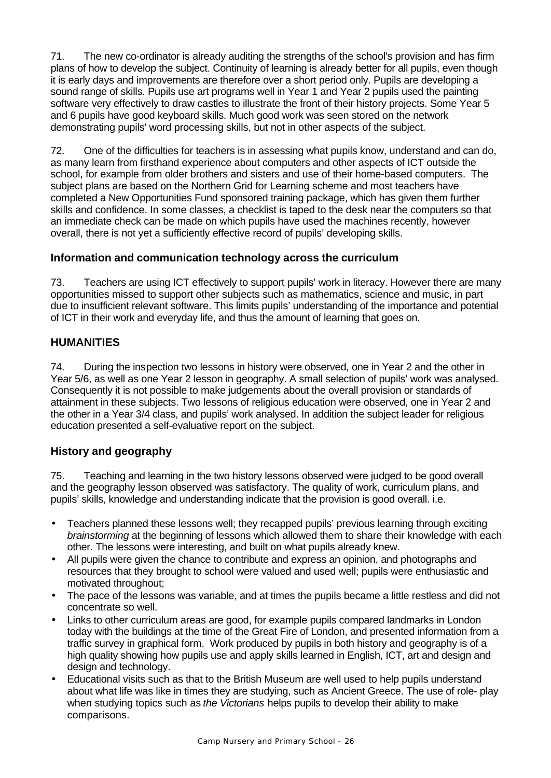71. The new co-ordinator is already auditing the strengths of the school's provision and has firm plans of how to develop the subject. Continuity of learning is already better for all pupils, even though it is early days and improvements are therefore over a short period only. Pupils are developing a sound range of skills. Pupils use art programs well in Year 1 and Year 2 pupils used the painting software very effectively to draw castles to illustrate the front of their history projects. Some Year 5 and 6 pupils have good keyboard skills. Much good work was seen stored on the network demonstrating pupils' word processing skills, but not in other aspects of the subject.

72. One of the difficulties for teachers is in assessing what pupils know, understand and can do, as many learn from firsthand experience about computers and other aspects of ICT outside the school, for example from older brothers and sisters and use of their home-based computers. The subject plans are based on the Northern Grid for Learning scheme and most teachers have completed a New Opportunities Fund sponsored training package, which has given them further skills and confidence. In some classes, a checklist is taped to the desk near the computers so that an immediate check can be made on which pupils have used the machines recently, however overall, there is not yet a sufficiently effective record of pupils' developing skills.

### **Information and communication technology across the curriculum**

73. Teachers are using ICT effectively to support pupils' work in literacy. However there are many opportunities missed to support other subjects such as mathematics, science and music, in part due to insufficient relevant software. This limits pupils' understanding of the importance and potential of ICT in their work and everyday life, and thus the amount of learning that goes on.

### **HUMANITIES**

74. During the inspection two lessons in history were observed, one in Year 2 and the other in Year 5/6, as well as one Year 2 lesson in geography. A small selection of pupils' work was analysed. Consequently it is not possible to make judgements about the overall provision or standards of attainment in these subjects. Two lessons of religious education were observed, one in Year 2 and the other in a Year 3/4 class, and pupils' work analysed. In addition the subject leader for religious education presented a self-evaluative report on the subject.

# **History and geography**

75. Teaching and learning in the two history lessons observed were judged to be good overall and the geography lesson observed was satisfactory. The quality of work, curriculum plans, and pupils' skills, knowledge and understanding indicate that the provision is good overall. i.e.

- Teachers planned these lessons well; they recapped pupils' previous learning through exciting *brainstorming* at the beginning of lessons which allowed them to share their knowledge with each other. The lessons were interesting, and built on what pupils already knew.
- All pupils were given the chance to contribute and express an opinion, and photographs and resources that they brought to school were valued and used well; pupils were enthusiastic and motivated throughout;
- The pace of the lessons was variable, and at times the pupils became a little restless and did not concentrate so well.
- Links to other curriculum areas are good, for example pupils compared landmarks in London today with the buildings at the time of the Great Fire of London, and presented information from a traffic survey in graphical form. Work produced by pupils in both history and geography is of a high quality showing how pupils use and apply skills learned in English, ICT, art and design and design and technology.
- Educational visits such as that to the British Museum are well used to help pupils understand about what life was like in times they are studying, such as Ancient Greece. The use of role- play when studying topics such as *the Victorians* helps pupils to develop their ability to make comparisons.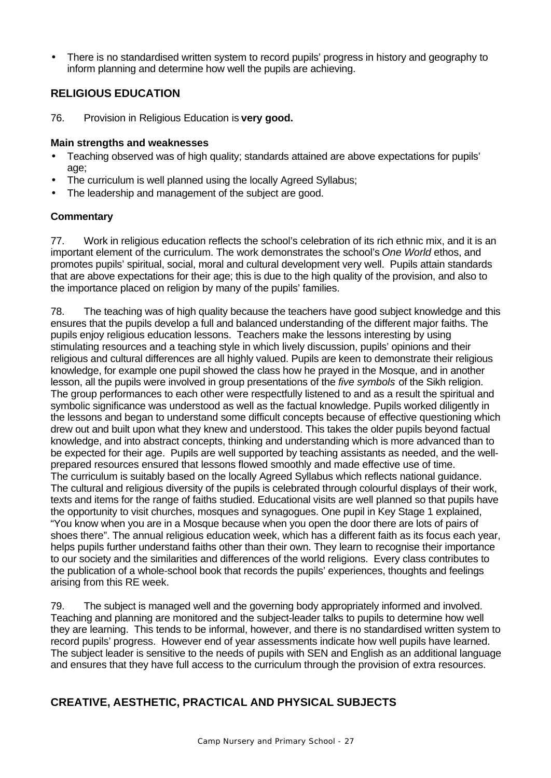• There is no standardised written system to record pupils' progress in history and geography to inform planning and determine how well the pupils are achieving.

### **RELIGIOUS EDUCATION**

76. Provision in Religious Education is **very good.**

#### **Main strengths and weaknesses**

- Teaching observed was of high quality; standards attained are above expectations for pupils' age;
- The curriculum is well planned using the locally Agreed Syllabus;
- The leadership and management of the subject are good.

### **Commentary**

77. Work in religious education reflects the school's celebration of its rich ethnic mix, and it is an important element of the curriculum. The work demonstrates the school's *One World* ethos, and promotes pupils' spiritual, social, moral and cultural development very well. Pupils attain standards that are above expectations for their age; this is due to the high quality of the provision, and also to the importance placed on religion by many of the pupils' families.

78. The teaching was of high quality because the teachers have good subject knowledge and this ensures that the pupils develop a full and balanced understanding of the different major faiths. The pupils enjoy religious education lessons. Teachers make the lessons interesting by using stimulating resources and a teaching style in which lively discussion, pupils' opinions and their religious and cultural differences are all highly valued. Pupils are keen to demonstrate their religious knowledge, for example one pupil showed the class how he prayed in the Mosque, and in another lesson, all the pupils were involved in group presentations of the *five symbols* of the Sikh religion. The group performances to each other were respectfully listened to and as a result the spiritual and symbolic significance was understood as well as the factual knowledge. Pupils worked diligently in the lessons and began to understand some difficult concepts because of effective questioning which drew out and built upon what they knew and understood. This takes the older pupils beyond factual knowledge, and into abstract concepts, thinking and understanding which is more advanced than to be expected for their age. Pupils are well supported by teaching assistants as needed, and the wellprepared resources ensured that lessons flowed smoothly and made effective use of time. The curriculum is suitably based on the locally Agreed Syllabus which reflects national guidance. The cultural and religious diversity of the pupils is celebrated through colourful displays of their work, texts and items for the range of faiths studied. Educational visits are well planned so that pupils have the opportunity to visit churches, mosques and synagogues. One pupil in Key Stage 1 explained, "You know when you are in a Mosque because when you open the door there are lots of pairs of shoes there". The annual religious education week, which has a different faith as its focus each year, helps pupils further understand faiths other than their own. They learn to recognise their importance to our society and the similarities and differences of the world religions. Every class contributes to the publication of a whole-school book that records the pupils' experiences, thoughts and feelings arising from this RE week.

79. The subject is managed well and the governing body appropriately informed and involved. Teaching and planning are monitored and the subject-leader talks to pupils to determine how well they are learning. This tends to be informal, however, and there is no standardised written system to record pupils' progress. However end of year assessments indicate how well pupils have learned. The subject leader is sensitive to the needs of pupils with SEN and English as an additional language and ensures that they have full access to the curriculum through the provision of extra resources.

# **CREATIVE, AESTHETIC, PRACTICAL AND PHYSICAL SUBJECTS**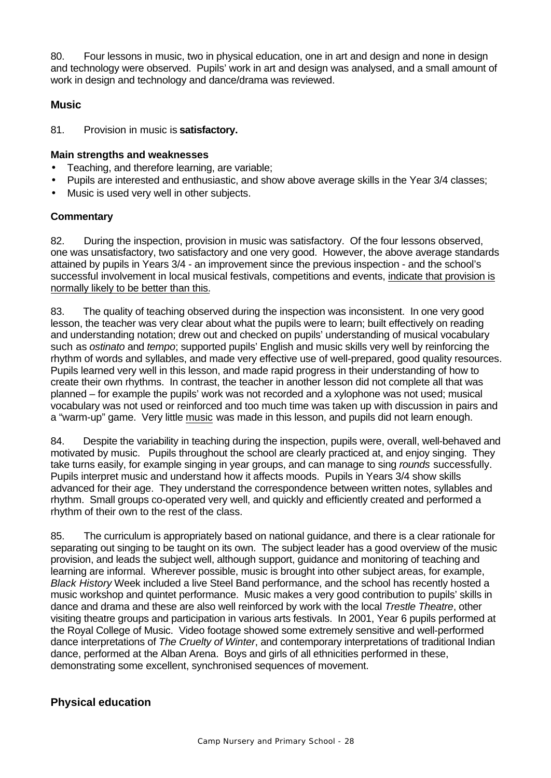80. Four lessons in music, two in physical education, one in art and design and none in design and technology were observed. Pupils' work in art and design was analysed, and a small amount of work in design and technology and dance/drama was reviewed.

### **Music**

81. Provision in music is **satisfactory.**

#### **Main strengths and weaknesses**

- Teaching, and therefore learning, are variable;
- Pupils are interested and enthusiastic, and show above average skills in the Year 3/4 classes;
- Music is used very well in other subjects.

### **Commentary**

82. During the inspection, provision in music was satisfactory. Of the four lessons observed, one was unsatisfactory, two satisfactory and one very good. However, the above average standards attained by pupils in Years 3/4 - an improvement since the previous inspection - and the school's successful involvement in local musical festivals, competitions and events, indicate that provision is normally likely to be better than this.

83. The quality of teaching observed during the inspection was inconsistent. In one very good lesson, the teacher was very clear about what the pupils were to learn; built effectively on reading and understanding notation; drew out and checked on pupils' understanding of musical vocabulary such as *ostinato* and *tempo*; supported pupils' English and music skills very well by reinforcing the rhythm of words and syllables, and made very effective use of well-prepared, good quality resources. Pupils learned very well in this lesson, and made rapid progress in their understanding of how to create their own rhythms. In contrast, the teacher in another lesson did not complete all that was planned – for example the pupils' work was not recorded and a xylophone was not used; musical vocabulary was not used or reinforced and too much time was taken up with discussion in pairs and a "warm-up" game. Very little music was made in this lesson, and pupils did not learn enough.

84. Despite the variability in teaching during the inspection, pupils were, overall, well-behaved and motivated by music. Pupils throughout the school are clearly practiced at, and enjoy singing. They take turns easily, for example singing in year groups, and can manage to sing *rounds* successfully. Pupils interpret music and understand how it affects moods. Pupils in Years 3/4 show skills advanced for their age. They understand the correspondence between written notes, syllables and rhythm. Small groups co-operated very well, and quickly and efficiently created and performed a rhythm of their own to the rest of the class.

85. The curriculum is appropriately based on national guidance, and there is a clear rationale for separating out singing to be taught on its own. The subject leader has a good overview of the music provision, and leads the subject well, although support, guidance and monitoring of teaching and learning are informal. Wherever possible, music is brought into other subject areas, for example, *Black History* Week included a live Steel Band performance, and the school has recently hosted a music workshop and quintet performance. Music makes a very good contribution to pupils' skills in dance and drama and these are also well reinforced by work with the local *Trestle Theatre*, other visiting theatre groups and participation in various arts festivals. In 2001, Year 6 pupils performed at the Royal College of Music. Video footage showed some extremely sensitive and well-performed dance interpretations of *The Cruelty of Winter*, and contemporary interpretations of traditional Indian dance, performed at the Alban Arena. Boys and girls of all ethnicities performed in these, demonstrating some excellent, synchronised sequences of movement.

# **Physical education**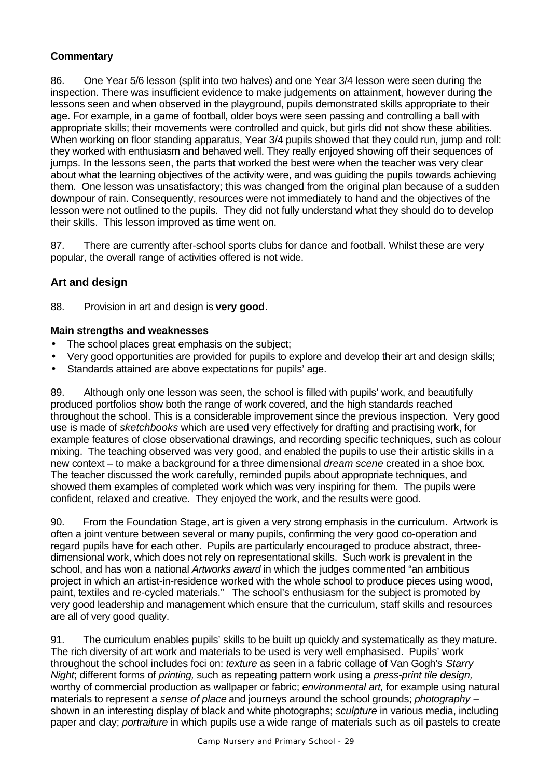### **Commentary**

86. One Year 5/6 lesson (split into two halves) and one Year 3/4 lesson were seen during the inspection. There was insufficient evidence to make judgements on attainment, however during the lessons seen and when observed in the playground, pupils demonstrated skills appropriate to their age. For example, in a game of football, older boys were seen passing and controlling a ball with appropriate skills; their movements were controlled and quick, but girls did not show these abilities. When working on floor standing apparatus, Year 3/4 pupils showed that they could run, jump and roll: they worked with enthusiasm and behaved well. They really enjoyed showing off their sequences of jumps. In the lessons seen, the parts that worked the best were when the teacher was very clear about what the learning objectives of the activity were, and was guiding the pupils towards achieving them. One lesson was unsatisfactory; this was changed from the original plan because of a sudden downpour of rain. Consequently, resources were not immediately to hand and the objectives of the lesson were not outlined to the pupils. They did not fully understand what they should do to develop their skills. This lesson improved as time went on.

87. There are currently after-school sports clubs for dance and football. Whilst these are very popular, the overall range of activities offered is not wide.

### **Art and design**

88. Provision in art and design is **very good**.

#### **Main strengths and weaknesses**

- The school places great emphasis on the subject;
- Very good opportunities are provided for pupils to explore and develop their art and design skills;
- Standards attained are above expectations for pupils' age.

89. Although only one lesson was seen, the school is filled with pupils' work, and beautifully produced portfolios show both the range of work covered, and the high standards reached throughout the school. This is a considerable improvement since the previous inspection. Very good use is made of *sketchbooks* which are used very effectively for drafting and practising work, for example features of close observational drawings, and recording specific techniques, such as colour mixing. The teaching observed was very good, and enabled the pupils to use their artistic skills in a new context – to make a background for a three dimensional *dream scene* created in a shoe box*.* The teacher discussed the work carefully, reminded pupils about appropriate techniques, and showed them examples of completed work which was very inspiring for them. The pupils were confident, relaxed and creative. They enjoyed the work, and the results were good.

90. From the Foundation Stage, art is given a very strong emphasis in the curriculum. Artwork is often a joint venture between several or many pupils, confirming the very good co-operation and regard pupils have for each other. Pupils are particularly encouraged to produce abstract, threedimensional work, which does not rely on representational skills. Such work is prevalent in the school, and has won a national *Artworks award* in which the judges commented "an ambitious project in which an artist-in-residence worked with the whole school to produce pieces using wood, paint, textiles and re-cycled materials." The school's enthusiasm for the subject is promoted by very good leadership and management which ensure that the curriculum, staff skills and resources are all of very good quality.

91. The curriculum enables pupils' skills to be built up quickly and systematically as they mature. The rich diversity of art work and materials to be used is very well emphasised. Pupils' work throughout the school includes foci on: *texture* as seen in a fabric collage of Van Gogh's *Starry Night*; different forms of *printing,* such as repeating pattern work using a *press-print tile design,* worthy of commercial production as wallpaper or fabric; *environmental art,* for example using natural materials to represent a *sense of place* and journeys around the school grounds; *photography* – shown in an interesting display of black and white photographs; *sculpture* in various media, including paper and clay; *portraiture* in which pupils use a wide range of materials such as oil pastels to create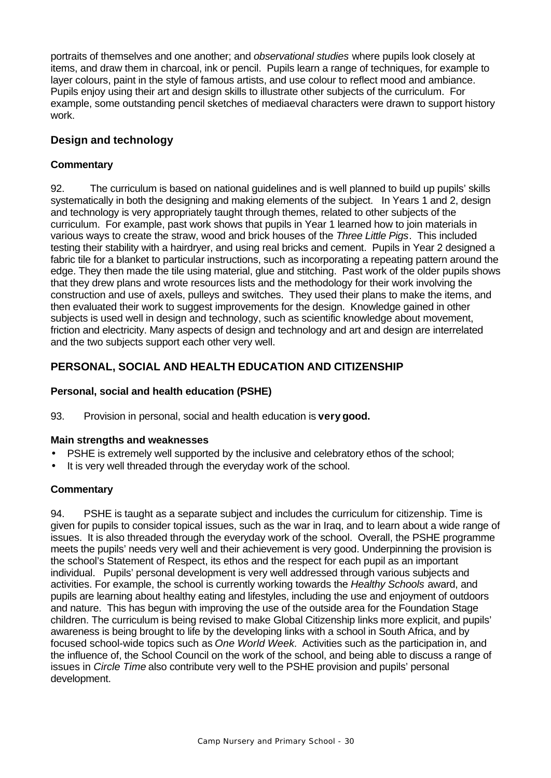portraits of themselves and one another; and *observational studies* where pupils look closely at items, and draw them in charcoal, ink or pencil. Pupils learn a range of techniques, for example to layer colours, paint in the style of famous artists, and use colour to reflect mood and ambiance. Pupils enjoy using their art and design skills to illustrate other subjects of the curriculum. For example, some outstanding pencil sketches of mediaeval characters were drawn to support history work.

# **Design and technology**

### **Commentary**

92. The curriculum is based on national guidelines and is well planned to build up pupils' skills systematically in both the designing and making elements of the subject. In Years 1 and 2, design and technology is very appropriately taught through themes, related to other subjects of the curriculum. For example, past work shows that pupils in Year 1 learned how to join materials in various ways to create the straw, wood and brick houses of the *Three Little Pigs*. This included testing their stability with a hairdryer, and using real bricks and cement. Pupils in Year 2 designed a fabric tile for a blanket to particular instructions, such as incorporating a repeating pattern around the edge. They then made the tile using material, glue and stitching. Past work of the older pupils shows that they drew plans and wrote resources lists and the methodology for their work involving the construction and use of axels, pulleys and switches. They used their plans to make the items, and then evaluated their work to suggest improvements for the design. Knowledge gained in other subjects is used well in design and technology, such as scientific knowledge about movement, friction and electricity. Many aspects of design and technology and art and design are interrelated and the two subjects support each other very well.

# **PERSONAL, SOCIAL AND HEALTH EDUCATION AND CITIZENSHIP**

### **Personal, social and health education (PSHE)**

93. Provision in personal, social and health education is **very good.**

### **Main strengths and weaknesses**

- PSHE is extremely well supported by the inclusive and celebratory ethos of the school;
- It is very well threaded through the everyday work of the school.

### **Commentary**

94. PSHE is taught as a separate subject and includes the curriculum for citizenship. Time is given for pupils to consider topical issues, such as the war in Iraq, and to learn about a wide range of issues. It is also threaded through the everyday work of the school. Overall, the PSHE programme meets the pupils' needs very well and their achievement is very good. Underpinning the provision is the school's Statement of Respect, its ethos and the respect for each pupil as an important individual. Pupils' personal development is very well addressed through various subjects and activities. For example, the school is currently working towards the *Healthy Schools* award, and pupils are learning about healthy eating and lifestyles, including the use and enjoyment of outdoors and nature. This has begun with improving the use of the outside area for the Foundation Stage children. The curriculum is being revised to make Global Citizenship links more explicit, and pupils' awareness is being brought to life by the developing links with a school in South Africa, and by focused school-wide topics such as *One World Week.* Activities such as the participation in, and the influence of, the School Council on the work of the school, and being able to discuss a range of issues in *Circle Time* also contribute very well to the PSHE provision and pupils' personal development.